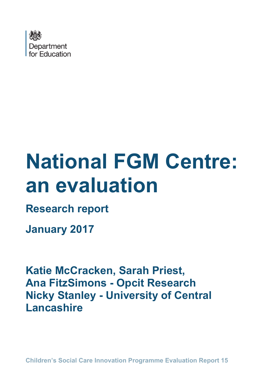

# **National FGM Centre: an evaluation**

**Research report** 

**January 2017**

**Katie McCracken, Sarah Priest, Ana FitzSimons - Opcit Research Nicky Stanley - University of Central Lancashire**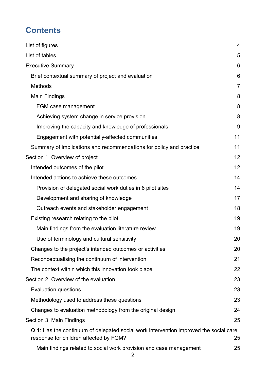# **Contents**

| List of figures                                                                                                                 | 4              |  |  |  |  |  |
|---------------------------------------------------------------------------------------------------------------------------------|----------------|--|--|--|--|--|
| List of tables                                                                                                                  | 5              |  |  |  |  |  |
| <b>Executive Summary</b>                                                                                                        | 6              |  |  |  |  |  |
| Brief contextual summary of project and evaluation                                                                              | 6              |  |  |  |  |  |
| <b>Methods</b>                                                                                                                  | $\overline{7}$ |  |  |  |  |  |
| <b>Main Findings</b>                                                                                                            | 8              |  |  |  |  |  |
| FGM case management                                                                                                             | 8              |  |  |  |  |  |
| Achieving system change in service provision                                                                                    | 8              |  |  |  |  |  |
| Improving the capacity and knowledge of professionals                                                                           | 9              |  |  |  |  |  |
| Engagement with potentially-affected communities                                                                                | 11             |  |  |  |  |  |
| Summary of implications and recommendations for policy and practice                                                             | 11             |  |  |  |  |  |
| Section 1. Overview of project                                                                                                  | 12             |  |  |  |  |  |
| Intended outcomes of the pilot                                                                                                  | 12             |  |  |  |  |  |
| Intended actions to achieve these outcomes                                                                                      | 14             |  |  |  |  |  |
| Provision of delegated social work duties in 6 pilot sites                                                                      | 14             |  |  |  |  |  |
| Development and sharing of knowledge                                                                                            |                |  |  |  |  |  |
| Outreach events and stakeholder engagement                                                                                      |                |  |  |  |  |  |
| Existing research relating to the pilot                                                                                         | 19             |  |  |  |  |  |
| Main findings from the evaluation literature review                                                                             | 19             |  |  |  |  |  |
| Use of terminology and cultural sensitivity                                                                                     | 20             |  |  |  |  |  |
| Changes to the project's intended outcomes or activities                                                                        | 20             |  |  |  |  |  |
| Reconceptualising the continuum of intervention                                                                                 | 21             |  |  |  |  |  |
| The context within which this innovation took place                                                                             | 22             |  |  |  |  |  |
| Section 2. Overview of the evaluation                                                                                           | 23             |  |  |  |  |  |
| <b>Evaluation questions</b>                                                                                                     | 23             |  |  |  |  |  |
| Methodology used to address these questions<br>23                                                                               |                |  |  |  |  |  |
| Changes to evaluation methodology from the original design                                                                      |                |  |  |  |  |  |
| Section 3. Main Findings                                                                                                        | 25             |  |  |  |  |  |
| Q.1: Has the continuum of delegated social work intervention improved the social care<br>response for children affected by FGM? | 25             |  |  |  |  |  |
| Main findings related to social work provision and case management                                                              | 25             |  |  |  |  |  |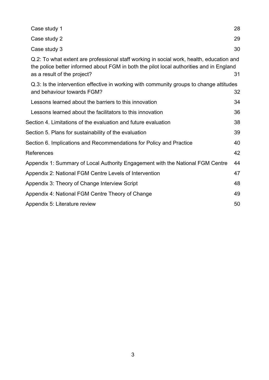| Case study 1                                                                                                                                                                                                       | 28 |
|--------------------------------------------------------------------------------------------------------------------------------------------------------------------------------------------------------------------|----|
| Case study 2                                                                                                                                                                                                       | 29 |
| Case study 3                                                                                                                                                                                                       | 30 |
| Q.2: To what extent are professional staff working in social work, health, education and<br>the police better informed about FGM in both the pilot local authorities and in England<br>as a result of the project? | 31 |
| Q.3: Is the intervention effective in working with community groups to change attitudes<br>and behaviour towards FGM?                                                                                              | 32 |
| Lessons learned about the barriers to this innovation                                                                                                                                                              | 34 |
| Lessons learned about the facilitators to this innovation                                                                                                                                                          | 36 |
| Section 4. Limitations of the evaluation and future evaluation                                                                                                                                                     | 38 |
| Section 5. Plans for sustainability of the evaluation                                                                                                                                                              | 39 |
| Section 6. Implications and Recommendations for Policy and Practice                                                                                                                                                | 40 |
| References                                                                                                                                                                                                         | 42 |
| Appendix 1: Summary of Local Authority Engagement with the National FGM Centre                                                                                                                                     | 44 |
| Appendix 2: National FGM Centre Levels of Intervention                                                                                                                                                             | 47 |
| Appendix 3: Theory of Change Interview Script                                                                                                                                                                      | 48 |
| Appendix 4: National FGM Centre Theory of Change                                                                                                                                                                   | 49 |
| Appendix 5: Literature review                                                                                                                                                                                      | 50 |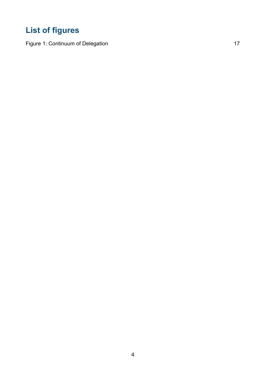# <span id="page-3-0"></span>**List of figures**

[Figure 1: Continuum of Delegation](#page-15-0) 17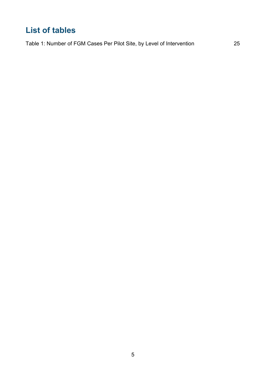# <span id="page-4-0"></span>**List of tables**

[Table 1: Number of FGM Cases Per Pilot Site, by Level of Intervention](#page-24-3) 25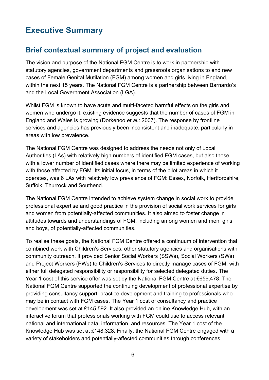# <span id="page-5-0"></span>**Executive Summary**

# <span id="page-5-1"></span>**Brief contextual summary of project and evaluation**

The vision and purpose of the National FGM Centre is to work in partnership with statutory agencies, government departments and grassroots organisations to end new cases of Female Genital Mutilation (FGM) among women and girls living in England, within the next 15 years. The National FGM Centre is a partnership between Barnardo's and the Local Government Association (LGA).

Whilst FGM is known to have acute and multi-faceted harmful effects on the girls and women who undergo it, existing evidence suggests that the number of cases of FGM in England and Wales is growing (Dorkenoo *et al.*: 2007). The response by frontline services and agencies has previously been inconsistent and inadequate, particularly in areas with low prevalence.

The National FGM Centre was designed to address the needs not only of Local Authorities (LAs) with relatively high numbers of identified FGM cases, but also those with a lower number of identified cases where there may be limited experience of working with those affected by FGM. Its initial focus, in terms of the pilot areas in which it operates, was 6 LAs with relatively low prevalence of FGM: Essex, Norfolk, Hertfordshire, Suffolk, Thurrock and Southend.

The National FGM Centre intended to achieve system change in social work to provide professional expertise and good practice in the provision of social work services for girls and women from potentially-affected communities. It also aimed to foster change in attitudes towards and understandings of FGM, including among women and men, girls and boys, of potentially-affected communities.

To realise these goals, the National FGM Centre offered a continuum of intervention that combined work with Children's Services, other statutory agencies and organisations with community outreach. It provided Senior Social Workers (SSWs), Social Workers (SWs) and Project Workers (PWs) to Children's Services to directly manage cases of FGM, with either full delegated responsibility or responsibility for selected delegated duties. The Year 1 cost of this service offer was set by the National FGM Centre at £659,478. The National FGM Centre supported the continuing development of professional expertise by providing consultancy support, practice development and training to professionals who may be in contact with FGM cases. The Year 1 cost of consultancy and practice development was set at £145,592. It also provided an online Knowledge Hub, with an interactive forum that professionals working with FGM could use to access relevant national and international data, information, and resources. The Year 1 cost of the Knowledge Hub was set at £148,328. Finally, the National FGM Centre engaged with a variety of stakeholders and potentially-affected communities through conferences,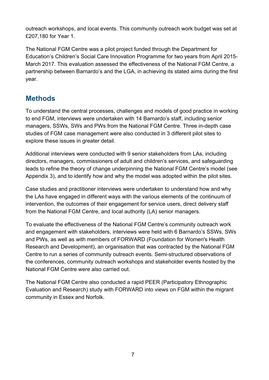outreach workshops, and local events. This community outreach work budget was set at £207,180 for Year 1.

The National FGM Centre was a pilot project funded through the Department for Education's Children's Social Care Innovation Programme for two years from April 2015- March 2017. This evaluation assessed the effectiveness of the National FGM Centre, a partnership between Barnardo's and the LGA, in achieving its stated aims during the first year.

## <span id="page-6-0"></span>**Methods**

To understand the central processes, challenges and models of good practice in working to end FGM, interviews were undertaken with 14 Barnardo's staff, including senior managers, SSWs, SWs and PWs from the National FGM Centre. Three in-depth case studies of FGM case management were also conducted in 3 different pilot sites to explore these issues in greater detail.

Additional interviews were conducted with 9 senior stakeholders from LAs, including directors, managers, commissioners of adult and children's services, and safeguarding leads to refine the theory of change underpinning the National FGM Centre's model (see Appendix 3), and to identify how and why the model was adopted within the pilot sites.

Case studies and practitioner interviews were undertaken to understand how and why the LAs have engaged in different ways with the various elements of the continuum of intervention, the outcomes of their engagement for service users, direct delivery staff from the National FGM Centre, and local authority (LA) senior managers.

To evaluate the effectiveness of the National FGM Centre's community outreach work and engagement with stakeholders, interviews were held with 6 Barnardo's SSWs, SWs and PWs, as well as with members of FORWARD (Foundation for Women's Health Research and Development), an organisation that was contracted by the National FGM Centre to run a series of community outreach events. Semi-structured observations of the conferences, community outreach workshops and stakeholder events hosted by the National FGM Centre were also carried out.

The National FGM Centre also conducted a rapid PEER (Participatory Ethnographic Evaluation and Research) study with FORWARD into views on FGM within the migrant community in Essex and Norfolk.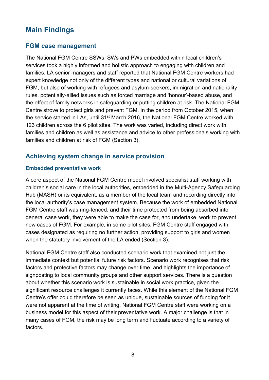## <span id="page-7-0"></span>**Main Findings**

#### <span id="page-7-1"></span>**FGM case management**

The National FGM Centre SSWs, SWs and PWs embedded within local children's services took a highly informed and holistic approach to engaging with children and families. LA senior managers and staff reported that National FGM Centre workers had expert knowledge not only of the different types and national or cultural variations of FGM, but also of working with refugees and asylum-seekers, immigration and nationality rules, potentially-allied issues such as forced marriage and 'honour'-based abuse, and the effect of family networks in safeguarding or putting children at risk. The National FGM Centre strove to protect girls and prevent FGM. In the period from October 2015, when the service started in LAs, until 31<sup>st</sup> March 2016, the National FGM Centre worked with 123 children across the 6 pilot sites. The work was varied, including direct work with families and children as well as assistance and advice to other professionals working with families and children at risk of FGM (Section 3).

#### <span id="page-7-2"></span>**Achieving system change in service provision**

#### **Embedded preventative work**

A core aspect of the National FGM Centre model involved specialist staff working with children's social care in the local authorities, embedded in the Multi-Agency Safeguarding Hub (MASH) or its equivalent, as a member of the local team and recording directly into the local authority's case management system. Because the work of embedded National FGM Centre staff was ring-fenced, and their time protected from being absorbed into general case work, they were able to make the case for, and undertake, work to prevent new cases of FGM. For example, in some pilot sites, FGM Centre staff engaged with cases designated as requiring no further action, providing support to girls and women when the statutory involvement of the LA ended (Section 3).

National FGM Centre staff also conducted scenario work that examined not just the immediate context but potential future risk factors. Scenario work recognises that risk factors and protective factors may change over time, and highlights the importance of signposting to local community groups and other support services. There is a question about whether this scenario work is sustainable in social work practice, given the significant resource challenges it currently faces. While this element of the National FGM Centre's offer could therefore be seen as unique, sustainable sources of funding for it were not apparent at the time of writing. National FGM Centre staff were working on a business model for this aspect of their preventative work. A major challenge is that in many cases of FGM, the risk may be long term and fluctuate according to a variety of factors.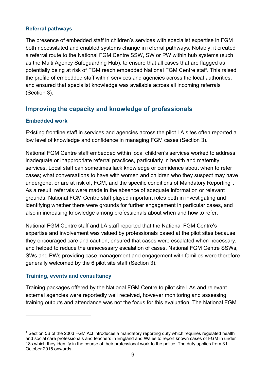#### **Referral pathways**

The presence of embedded staff in children's services with specialist expertise in FGM both necessitated and enabled systems change in referral pathways. Notably, it created a referral route to the National FGM Centre SSW, SW or PW within hub systems (such as the Multi Agency Safeguarding Hub), to ensure that all cases that are flagged as potentially being at risk of FGM reach embedded National FGM Centre staff. This raised the profile of embedded staff within services and agencies across the local authorities, and ensured that specialist knowledge was available across all incoming referrals (Section 3).

#### <span id="page-8-0"></span>**Improving the capacity and knowledge of professionals**

#### **Embedded work**

Existing frontline staff in services and agencies across the pilot LA sites often reported a low level of knowledge and confidence in managing FGM cases (Section 3).

National FGM Centre staff embedded within local children's services worked to address inadequate or inappropriate referral practices, particularly in health and maternity services. Local staff can sometimes lack knowledge or confidence about when to refer cases; what conversations to have with women and children who they suspect may have undergone, or are at risk of, FGM, and the specific conditions of Mandatory Reporting<sup>[1](#page-8-1)</sup>. As a result, referrals were made in the absence of adequate information or relevant grounds. National FGM Centre staff played important roles both in investigating and identifying whether there were grounds for further engagement in particular cases, and also in increasing knowledge among professionals about when and how to refer.

National FGM Centre staff and LA staff reported that the National FGM Centre's expertise and involvement was valued by professionals based at the pilot sites because they encouraged care and caution, ensured that cases were escalated when necessary, and helped to reduce the unnecessary escalation of cases. National FGM Centre SSWs, SWs and PWs providing case management and engagement with families were therefore generally welcomed by the 6 pilot site staff (Section 3).

#### **Training, events and consultancy**

 $\overline{a}$ 

Training packages offered by the National FGM Centre to pilot site LAs and relevant external agencies were reportedly well received**,** however monitoring and assessing training outputs and attendance was not the focus for this evaluation. The National FGM

<span id="page-8-1"></span> $1$  Section 5B of the 2003 FGM Act introduces a mandatory reporting duty which requires regulated health and social care professionals and teachers in England and Wales to report known cases of FGM in under 18s which they identify in the course of their professional work to the police. The duty applies from 31 October 2015 onwards.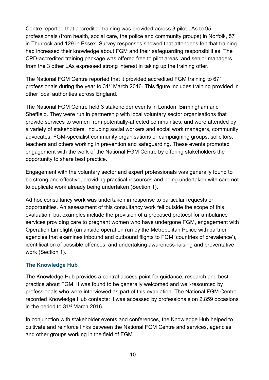Centre reported that accredited training was provided across 3 pilot LAs to 95 professionals (from health, social care, the police and community groups) in Norfolk, 57 in Thurrock and 129 in Essex. Survey responses showed that attendees felt that training had increased their knowledge about FGM and their safeguarding responsibilities. The CPD-accredited training package was offered free to pilot areas, and senior managers from the 3 other LAs expressed strong interest in taking up the training offer.

The National FGM Centre reported that it provided accredited FGM training to 671 professionals during the year to 31st March 2016. This figure includes training provided in other local authorities across England.

The National FGM Centre held 3 stakeholder events in London, Birmingham and Sheffield. They were run in partnership with local voluntary sector organisations that provide services to women from potentially-affected communities, and were attended by a variety of stakeholders, including social workers and social work managers, community advocates, FGM-specialist community organisations or campaigning groups, solicitors, teachers and others working in prevention and safeguarding. These events promoted engagement with the work of the National FGM Centre by offering stakeholders the opportunity to share best practice.

Engagement with the voluntary sector and expert professionals was generally found to be strong and effective, providing practical resources and being undertaken with care not to duplicate work already being undertaken (Section 1).

Ad hoc consultancy work was undertaken in response to particular requests or opportunities. An assessment of this consultancy work fell outside the scope of this evaluation, but examples include the provision of a proposed protocol for ambulance services providing care to pregnant women who have undergone FGM, engagement with Operation Limelight (an airside operation run by the Metropolitan Police with partner agencies that examines inbound and outbound flights to FGM 'countries of prevalence'), identification of possible offences, and undertaking awareness-raising and preventative work (Section 1).

#### **The Knowledge Hub**

The [Knowledge Hub](https://barnardosfgm.custhelp.com/) provides a central access point for guidance, research and best practice about FGM. It was found to be generally welcomed and well-resourced by professionals who were interviewed as part of this evaluation. The National FGM Centre recorded Knowledge Hub contacts: it was accessed by professionals on 2,859 occasions in the period to 31st March 2016.

In conjunction with stakeholder events and conferences, the Knowledge Hub helped to cultivate and reinforce links between the National FGM Centre and services, agencies and other groups working in the field of FGM.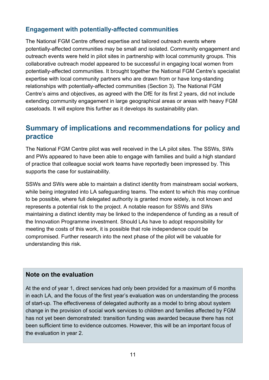#### <span id="page-10-0"></span>**Engagement with potentially-affected communities**

The National FGM Centre offered expertise and tailored outreach events where potentially-affected communities may be small and isolated. Community engagement and outreach events were held in pilot sites in partnership with local community groups. This collaborative outreach model appeared to be successful in engaging local women from potentially-affected communities. It brought together the National FGM Centre's specialist expertise with local community partners who are drawn from or have long-standing relationships with potentially-affected communities (Section 3). The National FGM Centre's aims and objectives, as agreed with the DfE for its first 2 years, did not include extending community engagement in large geographical areas or areas with heavy FGM caseloads. It will explore this further as it develops its sustainability plan.

## <span id="page-10-1"></span>**Summary of implications and recommendations for policy and practice**

The National FGM Centre pilot was well received in the LA pilot sites. The SSWs, SWs and PWs appeared to have been able to engage with families and build a high standard of practice that colleague social work teams have reportedly been impressed by. This supports the case for sustainability.

SSWs and SWs were able to maintain a distinct identity from mainstream social workers, while being integrated into LA safeguarding teams. The extent to which this may continue to be possible, where full delegated authority is granted more widely, is not known and represents a potential risk to the project. A notable reason for SSWs and SWs maintaining a distinct identity may be linked to the independence of funding as a result of the Innovation Programme investment. Should LAs have to adopt responsibility for meeting the costs of this work, it is possible that role independence could be compromised. Further research into the next phase of the pilot will be valuable for understanding this risk.

#### **Note on the evaluation**

At the end of year 1, direct services had only been provided for a maximum of 6 months in each LA, and the focus of the first year's evaluation was on understanding the process of start-up. The effectiveness of delegated authority as a model to bring about system change in the provision of social work services to children and families affected by FGM has not yet been demonstrated: transition funding was awarded because there has not been sufficient time to evidence outcomes. However, this will be an important focus of the evaluation in year 2.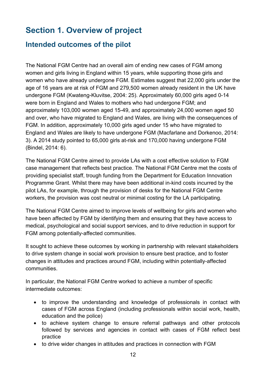# <span id="page-11-0"></span>**Section 1. Overview of project**

## <span id="page-11-1"></span>**Intended outcomes of the pilot**

The National FGM Centre had an overall aim of ending new cases of FGM among women and girls living in England within 15 years, while supporting those girls and women who have already undergone FGM. Estimates suggest that 22,000 girls under the age of 16 years are at risk of FGM and 279,500 women already resident in the UK have undergone FGM (Kwateng-Kluvitse, 2004: 25). Approximately 60,000 girls aged 0-14 were born in England and Wales to mothers who had undergone FGM; and approximately 103,000 women aged 15-49, and approximately 24,000 women aged 50 and over, who have migrated to England and Wales, are living with the consequences of FGM. In addition, approximately 10,000 girls aged under 15 who have migrated to England and Wales are likely to have undergone FGM (Macfarlane and Dorkenoo, 2014: 3). A 2014 study pointed to 65,000 girls at-risk and 170,000 having undergone FGM (Bindel, 2014: 6).

The National FGM Centre aimed to provide LAs with a cost effective solution to FGM case management that reflects best practice. The National FGM Centre met the costs of providing specialist staff, trough funding from the Department for Education Innovation Programme Grant. Whilst there may have been additional in-kind costs incurred by the pilot LAs, for example, through the provision of desks for the National FGM Centre workers, the provision was cost neutral or minimal costing for the LA participating.

The National FGM Centre aimed to improve levels of wellbeing for girls and women who have been affected by FGM by identifying them and ensuring that they have access to medical, psychological and social support services, and to drive reduction in support for FGM among potentially-affected communities.

It sought to achieve these outcomes by working in partnership with relevant stakeholders to drive system change in social work provision to ensure best practice, and to foster changes in attitudes and practices around FGM, including within potentially-affected communities.

In particular, the National FGM Centre worked to achieve a number of specific intermediate outcomes:

- to improve the understanding and knowledge of professionals in contact with cases of FGM across England (including professionals within social work, health, education and the police)
- to achieve system change to ensure referral pathways and other protocols followed by services and agencies in contact with cases of FGM reflect best practice
- to drive wider changes in attitudes and practices in connection with FGM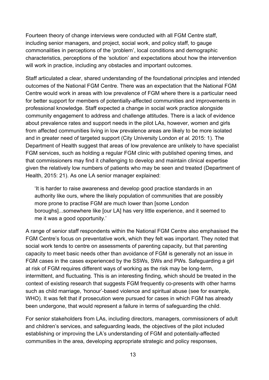Fourteen theory of change interviews were conducted with all FGM Centre staff, including senior managers, and project, social work, and policy staff, to gauge commonalities in perceptions of the 'problem', local conditions and demographic characteristics, perceptions of the 'solution' and expectations about how the intervention will work in practice, including any obstacles and important outcomes.

Staff articulated a clear, shared understanding of the foundational principles and intended outcomes of the National FGM Centre. There was an expectation that the National FGM Centre would work in areas with low prevalence of FGM where there is a particular need for better support for members of potentially-affected communities and improvements in professional knowledge. Staff expected a change in social work practice alongside community engagement to address and challenge attitudes. There is a lack of evidence about prevalence rates and support needs in the pilot LAs, however, women and girls from affected communities living in low prevalence areas are likely to be more isolated and in greater need of targeted support (City University London *et al.* 2015: 1). The Department of Health suggest that areas of low prevalence are unlikely to have specialist FGM services, such as holding a regular FGM clinic with published opening times, and that commissioners may find it challenging to develop and maintain clinical expertise given the relatively low numbers of patients who may be seen and treated (Department of Health, 2015: 21). As one LA senior manager explained:

'It is harder to raise awareness and develop good practice standards in an authority like ours, where the likely population of communities that are possibly more prone to practise FGM are much lower than [some London boroughs]...somewhere like [our LA] has very little experience, and it seemed to me it was a good opportunity.'

A range of senior staff respondents within the National FGM Centre also emphasised the FGM Centre's focus on preventative work, which they felt was important. They noted that social work tends to centre on assessments of parenting capacity, but that parenting capacity to meet basic needs other than avoidance of FGM is generally not an issue in FGM cases in the cases experienced by the SSWs, SWs and PWs. Safeguarding a girl at risk of FGM requires different ways of working as the risk may be long-term, intermittent, and fluctuating. This is an interesting finding, which should be treated in the context of existing research that suggests FGM frequently co-presents with other harms such as child marriage, 'honour'-based violence and spiritual abuse (see for example, WHO). It was felt that if prosecution were pursued for cases in which FGM has already been undergone, that would represent a failure in terms of safeguarding the child.

For senior stakeholders from LAs, including directors, managers, commissioners of adult and children's services, and safeguarding leads, the objectives of the pilot included establishing or improving the LA's understanding of FGM and potentially-affected communities in the area, developing appropriate strategic and policy responses,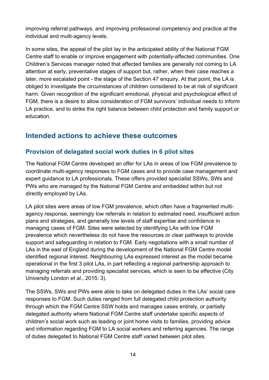improving referral pathways, and improving professional competency and practice at the individual and multi-agency levels.

In some sites, the appeal of the pilot lay in the anticipated ability of the National FGM Centre staff to enable or improve engagement with potentially-affected communities. One Children's Services manager noted that affected families are generally not coming to LA attention at early, preventative stages of support but, rather, when their case reaches a later, more escalated point - the stage of the Section 47 enquiry. At that point, the LA is obliged to investigate the circumstances of children considered to be at risk of significant harm. Given recognition of the significant emotional, physical and psychological effect of FGM, there is a desire to allow consideration of FGM survivors' individual needs to inform LA practice, and to strike the right balance between child protection and family support or education.

## <span id="page-13-0"></span>**Intended actions to achieve these outcomes**

#### <span id="page-13-1"></span>**Provision of delegated social work duties in 6 pilot sites**

The National FGM Centre developed an offer for LAs in areas of low FGM prevalence to coordinate multi-agency responses to FGM cases and to provide case management and expert guidance to LA professionals. These offers provided specialist SSWs, SWs and PWs who are managed by the National FGM Centre and embedded within but not directly employed by LAs.

LA pilot sites were areas of low FGM prevalence, which often have a fragmented multiagency response, seemingly low referrals in relation to estimated need, insufficient action plans and strategies, and generally low levels of staff expertise and confidence in managing cases of FGM. Sites were selected by identifying LAs with low FGM prevalence which nevertheless do not have the resources or clear pathways to provide support and safeguarding in relation to FGM. Early negotiations with a small number of LAs in the east of England during the development of the National FGM Centre model identified regional interest. Neighbouring LAs expressed interest as the model became operational in the first 3 pilot LAs, in part reflecting a regional partnership approach to managing referrals and providing specialist services, which is seen to be effective (City University London *et al.*, 2015: 3).

The SSWs, SWs and PWs were able to take on delegated duties in the LAs' social care responses to FGM. Such duties ranged from full delegated child protection authority through which the FGM Centre SSW holds and manages cases entirely, or partially delegated authority where National FGM Centre staff undertake specific aspects of children's social work such as leading or joint home visits to families, providing advice and information regarding FGM to LA social workers and referring agencies. The range of duties delegated to National FGM Centre staff varied between pilot sites.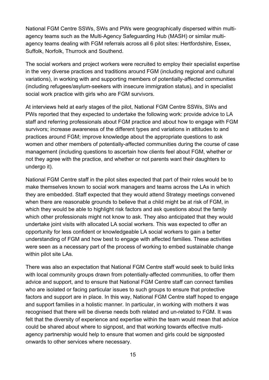National FGM Centre SSWs, SWs and PWs were geographically dispersed within multiagency teams such as the Multi-Agency Safeguarding Hub (MASH) or similar multiagency teams dealing with FGM referrals across all 6 pilot sites: Hertfordshire, Essex, Suffolk, Norfolk, Thurrock and Southend.

The social workers and project workers were recruited to employ their specialist expertise in the very diverse practices and traditions around FGM (including regional and cultural variations), in working with and supporting members of potentially-affected communities (including refugees/asylum-seekers with insecure immigration status), and in specialist social work practice with girls who are FGM survivors.

At interviews held at early stages of the pilot, National FGM Centre SSWs, SWs and PWs reported that they expected to undertake the following work: provide advice to LA staff and referring professionals about FGM practice and about how to engage with FGM survivors; increase awareness of the different types and variations in attitudes to and practices around FGM; improve knowledge about the appropriate questions to ask women and other members of potentially-affected communities during the course of case management (including questions to ascertain how clients feel about FGM, whether or not they agree with the practice, and whether or not parents want their daughters to undergo it).

National FGM Centre staff in the pilot sites expected that part of their roles would be to make themselves known to social work managers and teams across the LAs in which they are embedded. Staff expected that they would attend Strategy meetings convened when there are reasonable grounds to believe that a child might be at risk of FGM, in which they would be able to highlight risk factors and ask questions about the family which other professionals might not know to ask. They also anticipated that they would undertake joint visits with allocated LA social workers. This was expected to offer an opportunity for less confident or knowledgeable LA social workers to gain a better understanding of FGM and how best to engage with affected families. These activities were seen as a necessary part of the process of working to embed sustainable change within pilot site LAs.

There was also an expectation that National FGM Centre staff would seek to build links with local community groups drawn from potentially-affected communities, to offer them advice and support, and to ensure that National FGM Centre staff can connect families who are isolated or facing particular issues to such groups to ensure that protective factors and support are in place. In this way, National FGM Centre staff hoped to engage and support families in a holistic manner. In particular, in working with mothers it was recognised that there will be diverse needs both related and un-related to FGM. It was felt that the diversity of experience and expertise within the team would mean that advice could be shared about where to signpost, and that working towards effective multiagency partnership would help to ensure that women and girls could be signposted onwards to other services where necessary.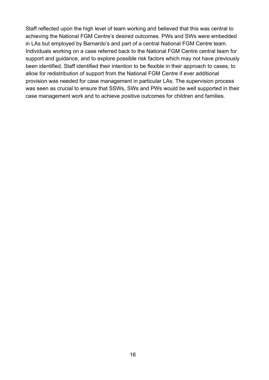<span id="page-15-0"></span>Staff reflected upon the high level of team working and believed that this was central to achieving the National FGM Centre's desired outcomes. PWs and SWs were embedded in LAs but employed by Barnardo's and part of a central National FGM Centre team. Individuals working on a case referred back to the National FGM Centre central team for support and guidance, and to explore possible risk factors which may not have previously been identified. Staff identified their intention to be flexible in their approach to cases, to allow for redistribution of support from the National FGM Centre if ever additional provision was needed for case management in particular LAs. The supervision process was seen as crucial to ensure that SSWs, SWs and PWs would be well supported in their case management work and to achieve positive outcomes for children and families.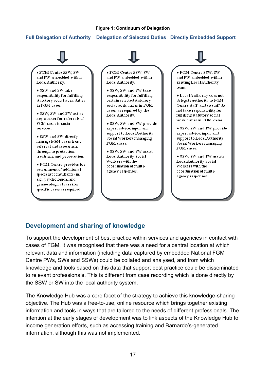#### **Figure 1: Continuum of Delegation**

#### **Full Delegation of Authority Delegation of Selected Duties Directly Embedded Support**



#### <span id="page-16-0"></span>**Development and sharing of knowledge**

To support the development of best practice within services and agencies in contact with cases of FGM, it was recognised that there was a need for a central location at which relevant data and information (including data captured by embedded National FGM Centre PWs, SWs and SSWs) could be collated and analysed, and from which knowledge and tools based on this data that support best practice could be disseminated to relevant professionals. This is different from case recording which is done directly by the SSW or SW into the local authority system.

The Knowledge Hub was a core facet of the strategy to achieve this knowledge-sharing objective. The Hub was a free-to-use, online resource which brings together existing information and tools in ways that are tailored to the needs of different professionals. The intention at the early stages of development was to link aspects of the Knowledge Hub to income generation efforts, such as accessing training and Barnardo's-generated information, although this was not implemented.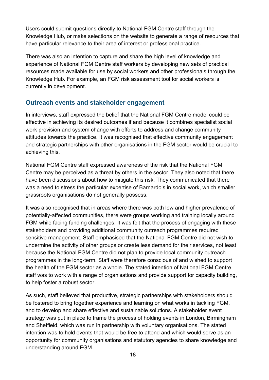Users could submit questions directly to National FGM Centre staff through the Knowledge Hub, or make selections on the website to generate a range of resources that have particular relevance to their area of interest or professional practice.

There was also an intention to capture and share the high level of knowledge and experience of National FGM Centre staff workers by developing new sets of practical resources made available for use by social workers and other professionals through the Knowledge Hub. For example, an FGM risk assessment tool for social workers is currently in development.

#### <span id="page-17-0"></span>**Outreach events and stakeholder engagement**

In interviews, staff expressed the belief that the National FGM Centre model could be effective in achieving its desired outcomes if and because it combines specialist social work provision and system change with efforts to address and change community attitudes towards the practice. It was recognised that effective community engagement and strategic partnerships with other organisations in the FGM sector would be crucial to achieving this.

National FGM Centre staff expressed awareness of the risk that the National FGM Centre may be perceived as a threat by others in the sector. They also noted that there have been discussions about how to mitigate this risk. They communicated that there was a need to stress the particular expertise of Barnardo's in social work, which smaller grassroots organisations do not generally possess.

It was also recognised that in areas where there was both low and higher prevalence of potentially-affected communities, there were groups working and training locally around FGM while facing funding challenges. It was felt that the process of engaging with these stakeholders and providing additional community outreach programmes required sensitive management. Staff emphasised that the National FGM Centre did not wish to undermine the activity of other groups or create less demand for their services, not least because the National FGM Centre did not plan to provide local community outreach programmes in the long-term. Staff were therefore conscious of and wished to support the health of the FGM sector as a whole. The stated intention of National FGM Centre staff was to work with a range of organisations and provide support for capacity building, to help foster a robust sector.

As such, staff believed that productive, strategic partnerships with stakeholders should be fostered to bring together experience and learning on what works in tackling FGM, and to develop and share effective and sustainable solutions. A stakeholder event strategy was put in place to frame the process of holding events in London, Birmingham and Sheffield, which was run in partnership with voluntary organisations. The stated intention was to hold events that would be free to attend and which would serve as an opportunity for community organisations and statutory agencies to share knowledge and understanding around FGM.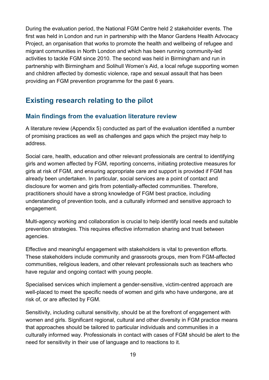During the evaluation period, the National FGM Centre held 2 stakeholder events. The first was held in London and run in partnership with the Manor Gardens Health Advocacy Project, an organisation that works to promote the health and wellbeing of refugee and migrant communities in North London and which has been running community-led activities to tackle FGM since 2010. The second was held in Birmingham and run in partnership with Birmingham and Solihull Women's Aid, a local refuge supporting women and children affected by domestic violence, rape and sexual assault that has been providing an FGM prevention programme for the past 6 years.

# <span id="page-18-0"></span>**Existing research relating to the pilot**

#### <span id="page-18-1"></span>**Main findings from the evaluation literature review**

A literature review (Appendix 5) conducted as part of the evaluation identified a number of promising practices as well as challenges and gaps which the project may help to address.

Social care, health, education and other relevant professionals are central to identifying girls and women affected by FGM, reporting concerns, initiating protective measures for girls at risk of FGM, and ensuring appropriate care and support is provided if FGM has already been undertaken. In particular, social services are a point of contact and disclosure for women and girls from potentially-affected communities. Therefore, practitioners should have a strong knowledge of FGM best practice, including understanding of prevention tools, and a culturally informed and sensitive approach to engagement.

Multi-agency working and collaboration is crucial to help identify local needs and suitable prevention strategies. This requires effective information sharing and trust between agencies.

Effective and meaningful engagement with stakeholders is vital to prevention efforts. These stakeholders include community and grassroots groups, men from FGM-affected communities, religious leaders, and other relevant professionals such as teachers who have regular and ongoing contact with young people.

Specialised services which implement a gender-sensitive, victim-centred approach are well-placed to meet the specific needs of women and girls who have undergone, are at risk of, or are affected by FGM.

Sensitivity, including cultural sensitivity, should be at the forefront of engagement with women and girls. Significant regional, cultural and other diversity in FGM practice means that approaches should be tailored to particular individuals and communities in a culturally informed way. Professionals in contact with cases of FGM should be alert to the need for sensitivity in their use of language and to reactions to it.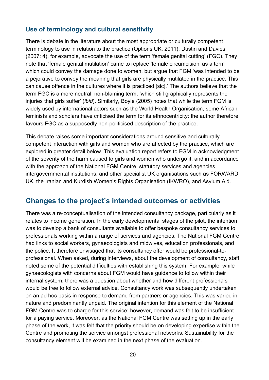#### <span id="page-19-0"></span>**Use of terminology and cultural sensitivity**

There is debate in the literature about the most appropriate or culturally competent terminology to use in relation to the practice (Options UK, 2011). Dustin and Davies (2007: 4), for example, advocate the use of the term 'female genital cutting' (FGC). They note that 'female genital mutilation' came to replace 'female circumcision' as a term which could convey the damage done to women, but argue that FGM 'was intended to be a pejorative to convey the meaning that girls are physically mutilated in the practice. This can cause offence in the cultures where it is practiced [sic].' The authors believe that the term FGC is a more neutral, non-blaming term, 'which still graphically represents the injuries that girls suffer' (*ibid*). Similarly, Boyle (2005) notes that while the term FGM is widely used by international actors such as the World Health Organisation, some African feminists and scholars have criticised the term for its ethnocentricity: the author therefore favours FGC as a supposedly non-politicised description of the practice.

This debate raises some important considerations around sensitive and culturally competent interaction with girls and women who are affected by the practice, which are explored in greater detail below. This evaluation report refers to FGM in acknowledgment of the severity of the harm caused to girls and women who undergo it, and in accordance with the approach of the National FGM Centre, statutory services and agencies, intergovernmental institutions, and other specialist UK organisations such as FORWARD UK, the Iranian and Kurdish Women's Rights Organisation (IKWRO), and Asylum Aid.

#### <span id="page-19-1"></span>**Changes to the project's intended outcomes or activities**

There was a re-conceptualisation of the intended consultancy package, particularly as it relates to income generation. In the early developmental stages of the pilot, the intention was to develop a bank of consultants available to offer bespoke consultancy services to professionals working within a range of services and agencies. The National FGM Centre had links to social workers, gynaecologists and midwives, education professionals, and the police. It therefore envisaged that its consultancy offer would be professional-toprofessional. When asked, during interviews, about the development of consultancy, staff noted some of the potential difficulties with establishing this system. For example, while gynaecologists with concerns about FGM would have guidance to follow within their internal system, there was a question about whether and how different professionals would be free to follow external advice. Consultancy work was subsequently undertaken on an ad hoc basis in response to demand from partners or agencies. This was varied in nature and predominantly unpaid. The original intention for this element of the National FGM Centre was to charge for this service: however, demand was felt to be insufficient for a paying service. Moreover, as the National FGM Centre was setting up in the early phase of the work, it was felt that the priority should be on developing expertise within the Centre and promoting the service amongst professional networks. Sustainability for the consultancy element will be examined in the next phase of the evaluation.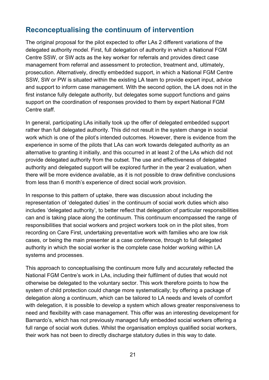## <span id="page-20-0"></span>**Reconceptualising the continuum of intervention**

The original proposal for the pilot expected to offer LAs 2 different variations of the delegated authority model. First, full delegation of authority in which a National FGM Centre SSW, or SW acts as the key worker for referrals and provides direct case management from referral and assessment to protection, treatment and, ultimately, prosecution. Alternatively, directly embedded support, in which a National FGM Centre SSW, SW or PW is situated within the existing LA team to provide expert input, advice and support to inform case management. With the second option, the LA does not in the first instance fully delegate authority, but delegates some support functions and gains support on the coordination of responses provided to them by expert National FGM Centre staff.

In general, participating LAs initially took up the offer of delegated embedded support rather than full delegated authority. This did not result in the system change in social work which is one of the pilot's intended outcomes. However, there is evidence from the experience in some of the pilots that LAs can work towards delegated authority as an alternative to granting it initially, and this occurred in at least 2 of the LAs which did not provide delegated authority from the outset. The use and effectiveness of delegated authority and delegated support will be explored further in the year 2 evaluation, when there will be more evidence available, as it is not possible to draw definitive conclusions from less than 6 month's experience of direct social work provision.

In response to this pattern of uptake, there was discussion about including the representation of 'delegated duties' in the continuum of social work duties which also includes 'delegated authority', to better reflect that delegation of particular responsibilities can and is taking place along the continuum. This continuum encompassed the range of responsibilities that social workers and project workers took on in the pilot sites, from recording on Care First, undertaking preventative work with families who are low risk cases, or being the main presenter at a case conference, through to full delegated authority in which the social worker is the complete case holder working within LA systems and processes.

This approach to conceptualising the continuum more fully and accurately reflected the National FGM Centre's work in LAs, including their fulfilment of duties that would not otherwise be delegated to the voluntary sector. This work therefore points to how the system of child protection could change more systematically; by offering a package of delegation along a continuum, which can be tailored to LA needs and levels of comfort with delegation, it is possible to develop a system which allows greater responsiveness to need and flexibility with case management. This offer was an interesting development for Barnardo's, which has not previously managed fully embedded social workers offering a full range of social work duties. Whilst the organisation employs qualified social workers, their work has not been to directly discharge statutory duties in this way to date.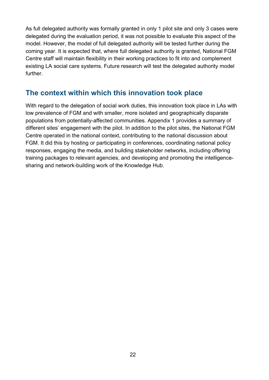As full delegated authority was formally granted in only 1 pilot site and only 3 cases were delegated during the evaluation period, it was not possible to evaluate this aspect of the model. However, the model of full delegated authority will be tested further during the coming year. It is expected that, where full delegated authority is granted, National FGM Centre staff will maintain flexibility in their working practices to fit into and complement existing LA social care systems. Future research will test the delegated authority model further.

## <span id="page-21-0"></span>**The context within which this innovation took place**

With regard to the delegation of social work duties, this innovation took place in LAs with low prevalence of FGM and with smaller, more isolated and geographically disparate populations from potentially-affected communities. Appendix 1 provides a summary of different sites' engagement with the pilot. In addition to the pilot sites, the National FGM Centre operated in the national context, contributing to the national discussion about FGM. It did this by hosting or participating in conferences, coordinating national policy responses, engaging the media, and building stakeholder networks, including offering training packages to relevant agencies, and developing and promoting the intelligencesharing and network-building work of the Knowledge Hub.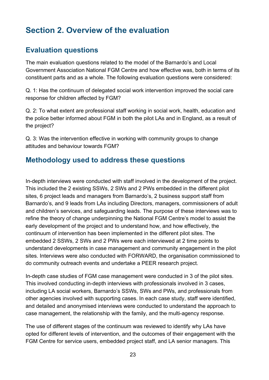# <span id="page-22-0"></span>**Section 2. Overview of the evaluation**

## <span id="page-22-1"></span>**Evaluation questions**

The main evaluation questions related to the model of the Barnardo's and Local Government Association National FGM Centre and how effective was, both in terms of its constituent parts and as a whole. The following evaluation questions were considered:

Q. 1: Has the continuum of delegated social work intervention improved the social care response for children affected by FGM?

Q. 2: To what extent are professional staff working in social work, health, education and the police better informed about FGM in both the pilot LAs and in England, as a result of the project?

Q. 3: Was the intervention effective in working with community groups to change attitudes and behaviour towards FGM?

## <span id="page-22-2"></span>**Methodology used to address these questions**

In-depth interviews were conducted with staff involved in the development of the project. This included the 2 existing SSWs, 2 SWs and 2 PWs embedded in the different pilot sites, 6 project leads and managers from Barnardo's, 2 business support staff from Barnardo's, and 9 leads from LAs including Directors, managers, commissioners of adult and children's services, and safeguarding leads. The purpose of these interviews was to refine the theory of change underpinning the National FGM Centre's model to assist the early development of the project and to understand how, and how effectively, the continuum of intervention has been implemented in the different pilot sites. The embedded 2 SSWs, 2 SWs and 2 PWs were each interviewed at 2 time points to understand developments in case management and community engagement in the pilot sites. Interviews were also conducted with FORWARD, the organisation commissioned to do community outreach events and undertake a PEER research project.

In-depth case studies of FGM case management were conducted in 3 of the pilot sites. This involved conducting in-depth interviews with professionals involved in 3 cases, including LA social workers, Barnardo's SSWs, SWs and PWs, and professionals from other agencies involved with supporting cases. In each case study, staff were identified, and detailed and anonymised interviews were conducted to understand the approach to case management, the relationship with the family, and the multi-agency response.

The use of different stages of the continuum was reviewed to identify why LAs have opted for different levels of intervention, and the outcomes of their engagement with the FGM Centre for service users, embedded project staff, and LA senior managers. This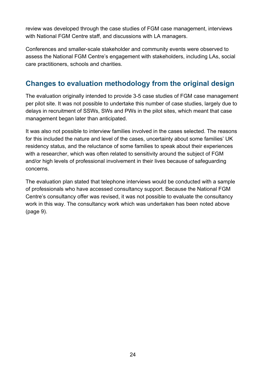review was developed through the case studies of FGM case management, interviews with National FGM Centre staff, and discussions with LA managers.

Conferences and smaller-scale stakeholder and community events were observed to assess the National FGM Centre's engagement with stakeholders, including LAs, social care practitioners, schools and charities.

# <span id="page-23-0"></span>**Changes to evaluation methodology from the original design**

The evaluation originally intended to provide 3-5 case studies of FGM case management per pilot site. It was not possible to undertake this number of case studies, largely due to delays in recruitment of SSWs, SWs and PWs in the pilot sites, which meant that case management began later than anticipated.

It was also not possible to interview families involved in the cases selected. The reasons for this included the nature and level of the cases, uncertainty about some families' UK residency status, and the reluctance of some families to speak about their experiences with a researcher, which was often related to sensitivity around the subject of FGM and/or high levels of professional involvement in their lives because of safeguarding concerns.

The evaluation plan stated that telephone interviews would be conducted with a sample of professionals who have accessed consultancy support. Because the National FGM Centre's consultancy offer was revised, it was not possible to evaluate the consultancy work in this way. The consultancy work which was undertaken has been noted above (page 9).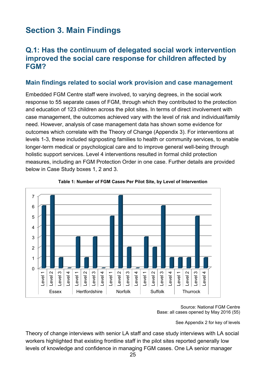# <span id="page-24-0"></span>**Section 3. Main Findings**

## <span id="page-24-1"></span>**Q.1: Has the continuum of delegated social work intervention improved the social care response for children affected by FGM?**

#### <span id="page-24-2"></span>**Main findings related to social work provision and case management**

Embedded FGM Centre staff were involved, to varying degrees, in the social work response to 55 separate cases of FGM, through which they contributed to the protection and education of 123 children across the pilot sites. In terms of direct involvement with case management, the outcomes achieved vary with the level of risk and individual/family need. However, analysis of case management data has shown some evidence for outcomes which correlate with the Theory of Change (Appendix 3). For interventions at levels 1-3, these included signposting families to health or community services, to enable longer-term medical or psychological care and to improve general well-being through holistic support services. Level 4 interventions resulted in formal child protection measures, including an FGM Protection Order in one case. Further details are provided below in Case Study boxes 1, 2 and 3.

<span id="page-24-3"></span>



#### Source: National FGM Centre Base: all cases opened by May 2016 (55)

See Appendix 2 for key of levels

Theory of change interviews with senior LA staff and case study interviews with LA social workers highlighted that existing frontline staff in the pilot sites reported generally low levels of knowledge and confidence in managing FGM cases. One LA senior manager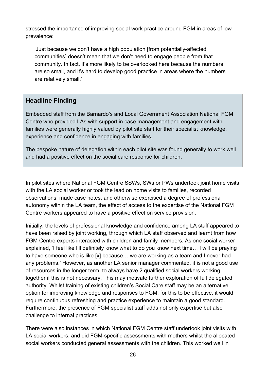stressed the importance of improving social work practice around FGM in areas of low prevalence:

'Just because we don't have a high population [from potentially-affected communities] doesn't mean that we don't need to engage people from that community. In fact, it's more likely to be overlooked here because the numbers are so small, and it's hard to develop good practice in areas where the numbers are relatively small.'

#### **Headline Finding**

Embedded staff from the Barnardo's and Local Government Association National FGM Centre who provided LAs with support in case management and engagement with families were generally highly valued by pilot site staff for their specialist knowledge, experience and confidence in engaging with families.

The bespoke nature of delegation within each pilot site was found generally to work well and had a positive effect on the social care response for children**.**

In pilot sites where National FGM Centre SSWs, SWs or PWs undertook joint home visits with the LA social worker or took the lead on home visits to families, recorded observations, made case notes, and otherwise exercised a degree of professional autonomy within the LA team, the effect of access to the expertise of the National FGM Centre workers appeared to have a positive effect on service provision.

Initially, the levels of professional knowledge and confidence among LA staff appeared to have been raised by joint working, through which LA staff observed and learnt from how FGM Centre experts interacted with children and family members. As one social worker explained, 'I feel like I'll definitely know what to do you know next time… I will be praying to have someone who is like [x] because… we are working as a team and I never had any problems.' However, as another LA senior manager commented, it is not a good use of resources in the longer term, to always have 2 qualified social workers working together if this is not necessary. This may motivate further exploration of full delegated authority. Whilst training of existing children's Social Care staff may be an alternative option for improving knowledge and responses to FGM, for this to be effective, it would require continuous refreshing and practice experience to maintain a good standard. Furthermore, the presence of FGM specialist staff adds not only expertise but also challenge to internal practices.

There were also instances in which National FGM Centre staff undertook joint visits with LA social workers, and did FGM-specific assessments with mothers whilst the allocated social workers conducted general assessments with the children. This worked well in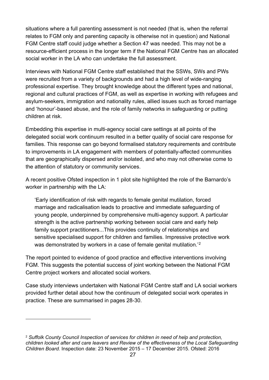situations where a full parenting assessment is not needed (that is, when the referral relates to FGM only and parenting capacity is otherwise not in question) and National FGM Centre staff could judge whether a Section 47 was needed. This may not be a resource-efficient process in the longer term if the National FGM Centre has an allocated social worker in the LA who can undertake the full assessment.

Interviews with National FGM Centre staff established that the SSWs, SWs and PWs were recruited from a variety of backgrounds and had a high level of wide-ranging professional expertise. They brought knowledge about the different types and national, regional and cultural practices of FGM, as well as expertise in working with refugees and asylum-seekers, immigration and nationality rules, allied issues such as forced marriage and 'honour'-based abuse, and the role of family networks in safeguarding or putting children at risk.

Embedding this expertise in multi-agency social care settings at all points of the delegated social work continuum resulted in a better quality of social care response for families. This response can go beyond formalised statutory requirements and contribute to improvements in LA engagement with members of potentially-affected communities that are geographically dispersed and/or isolated, and who may not otherwise come to the attention of statutory or community services.

A recent positive Ofsted inspection in 1 pilot site highlighted the role of the Barnardo's worker in partnership with the LA:

'Early identification of risk with regards to female genital mutilation, forced marriage and radicalisation leads to proactive and immediate safeguarding of young people, underpinned by comprehensive multi-agency support. A particular strength is the active partnership working between social care and early help family support practitioners...This provides continuity of relationships and sensitive specialised support for children and families. Impressive protective work was demonstrated by workers in a case of female genital mutilation.<sup>'[2](#page-26-0)</sup>

The report pointed to evidence of good practice and effective interventions involving FGM. This suggests the potential success of joint working between the National FGM Centre project workers and allocated social workers.

Case study interviews undertaken with National FGM Centre staff and LA social workers provided further detail about how the continuum of delegated social work operates in practice. These are summarised in pages 28-30.

 $\overline{a}$ 

<span id="page-26-0"></span><sup>2</sup> *Suffolk County Council Inspection of services for children in need of help and protection, children looked after and care leavers and Review of the effectiveness of the Local Safeguarding Children Board.* Inspection date: 23 November 2015 – 17 December 2015. Ofsted: 2016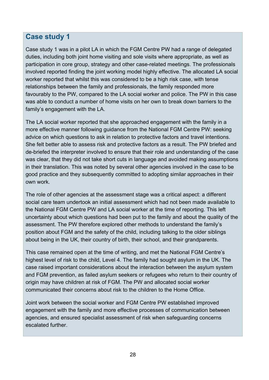## <span id="page-27-0"></span>**Case study 1**

Case study 1 was in a pilot LA in which the FGM Centre PW had a range of delegated duties, including both joint home visiting and sole visits where appropriate, as well as participation in core group, strategy and other case-related meetings. The professionals involved reported finding the joint working model highly effective. The allocated LA social worker reported that whilst this was considered to be a high risk case, with tense relationships between the family and professionals, the family responded more favourably to the PW, compared to the LA social worker and police. The PW in this case was able to conduct a number of home visits on her own to break down barriers to the family's engagement with the LA.

The LA social worker reported that she approached engagement with the family in a more effective manner following guidance from the National FGM Centre PW: seeking advice on which questions to ask in relation to protective factors and travel intentions. She felt better able to assess risk and protective factors as a result. The PW briefed and de-briefed the interpreter involved to ensure that their role and understanding of the case was clear, that they did not take short cuts in language and avoided making assumptions in their translation. This was noted by several other agencies involved in the case to be good practice and they subsequently committed to adopting similar approaches in their own work.

The role of other agencies at the assessment stage was a critical aspect: a different social care team undertook an initial assessment which had not been made available to the National FGM Centre PW and LA social worker at the time of reporting. This left uncertainty about which questions had been put to the family and about the quality of the assessment. The PW therefore explored other methods to understand the family's position about FGM and the safety of the child, including talking to the older siblings about being in the UK, their country of birth, their school, and their grandparents.

This case remained open at the time of writing, and met the National FGM Centre's highest level of risk to the child, Level 4. The family had sought asylum in the UK. The case raised important considerations about the interaction between the asylum system and FGM prevention, as failed asylum seekers or refugees who return to their country of origin may have children at risk of FGM. The PW and allocated social worker communicated their concerns about risk to the children to the Home Office.

Joint work between the social worker and FGM Centre PW established improved engagement with the family and more effective processes of communication between agencies, and ensured specialist assessment of risk when safeguarding concerns escalated further.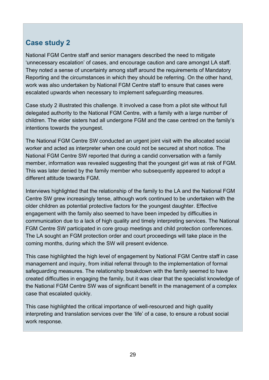## <span id="page-28-0"></span>**Case study 2**

National FGM Centre staff and senior managers described the need to mitigate 'unnecessary escalation' of cases, and encourage caution and care amongst LA staff. They noted a sense of uncertainty among staff around the requirements of Mandatory Reporting and the circumstances in which they should be referring. On the other hand, work was also undertaken by National FGM Centre staff to ensure that cases were escalated upwards when necessary to implement safeguarding measures.

Case study 2 illustrated this challenge. It involved a case from a pilot site without full delegated authority to the National FGM Centre, with a family with a large number of children. The elder sisters had all undergone FGM and the case centred on the family's intentions towards the youngest.

The National FGM Centre SW conducted an urgent joint visit with the allocated social worker and acted as interpreter when one could not be secured at short notice. The National FGM Centre SW reported that during a candid conversation with a family member, information was revealed suggesting that the youngest girl was at risk of FGM. This was later denied by the family member who subsequently appeared to adopt a different attitude towards FGM.

Interviews highlighted that the relationship of the family to the LA and the National FGM Centre SW grew increasingly tense, although work continued to be undertaken with the older children as potential protective factors for the youngest daughter. Effective engagement with the family also seemed to have been impeded by difficulties in communication due to a lack of high quality and timely interpreting services. The National FGM Centre SW participated in core group meetings and child protection conferences. The LA sought an FGM protection order and court proceedings will take place in the coming months, during which the SW will present evidence.

This case highlighted the high level of engagement by National FGM Centre staff in case management and inquiry, from initial referral through to the implementation of formal safeguarding measures. The relationship breakdown with the family seemed to have created difficulties in engaging the family, but it was clear that the specialist knowledge of the National FGM Centre SW was of significant benefit in the management of a complex case that escalated quickly.

This case highlighted the critical importance of well-resourced and high quality interpreting and translation services over the 'life' of a case, to ensure a robust social work response.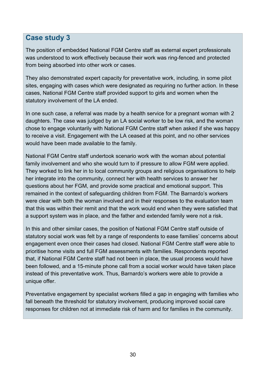## <span id="page-29-0"></span>**Case study 3**

The position of embedded National FGM Centre staff as external expert professionals was understood to work effectively because their work was ring-fenced and protected from being absorbed into other work or cases.

They also demonstrated expert capacity for preventative work, including, in some pilot sites, engaging with cases which were designated as requiring no further action. In these cases, National FGM Centre staff provided support to girls and women when the statutory involvement of the LA ended.

In one such case, a referral was made by a health service for a pregnant woman with 2 daughters. The case was judged by an LA social worker to be low risk, and the woman chose to engage voluntarily with National FGM Centre staff when asked if she was happy to receive a visit. Engagement with the LA ceased at this point, and no other services would have been made available to the family.

National FGM Centre staff undertook scenario work with the woman about potential family involvement and who she would turn to if pressure to allow FGM were applied. They worked to link her in to local community groups and religious organisations to help her integrate into the community, connect her with health services to answer her questions about her FGM, and provide some practical and emotional support. This remained in the context of safeguarding children from FGM. The Barnardo's workers were clear with both the woman involved and in their responses to the evaluation team that this was within their remit and that the work would end when they were satisfied that a support system was in place, and the father and extended family were not a risk.

In this and other similar cases, the position of National FGM Centre staff outside of statutory social work was felt by a range of respondents to ease families' concerns about engagement even once their cases had closed. National FGM Centre staff were able to prioritise home visits and full FGM assessments with families. Respondents reported that, if National FGM Centre staff had not been in place, the usual process would have been followed, and a 15-minute phone call from a social worker would have taken place instead of this preventative work. Thus, Barnardo's workers were able to provide a unique offer.

Preventative engagement by specialist workers filled a gap in engaging with families who fall beneath the threshold for statutory involvement, producing improved social care responses for children not at immediate risk of harm and for families in the community.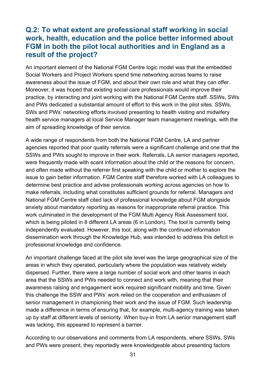### <span id="page-30-0"></span>**Q.2: To what extent are professional staff working in social work, health, education and the police better informed about FGM in both the pilot local authorities and in England as a result of the project?**

An important element of the National FGM Centre logic model was that the embedded Social Workers and Project Workers spend time networking across teams to raise awareness about the issue of FGM, and about their own role and what they can offer. Moreover, it was hoped that existing social care professionals would improve their practice, by interacting and joint working with the National FGM Centre staff. SSWs, SWs and PWs dedicated a substantial amount of effort to this work in the pilot sites. SSWs, SWs and PWs' networking efforts involved presenting to health visiting and midwifery health service managers at local Service Manager team management meetings, with the aim of spreading knowledge of their service.

A wide range of respondents from both the National FGM Centre, LA and partner agencies reported that poor quality referrals were a significant challenge and one that the SSWs and PWs sought to improve in their work. Referrals, LA senior managers reported, were frequently made with scant information about the child or the reasons for concern, and often made without the referrer first speaking with the child or mother to explore the issue to gain better information. FGM Centre staff therefore worked with LA colleagues to determine best practice and advise professionals working across agencies on how to make referrals, including what constitutes sufficient grounds for referral. Managers and National FGM Centre staff cited lack of professional knowledge about FGM alongside anxiety about mandatory reporting as reasons for inappropriate referral practice. This work culminated in the development of the FGM Multi Agency Risk Assessment tool, which is being piloted in 8 different LA areas (6 in London). The tool is currently being independently evaluated. However, this tool, along with the continued information dissemination work through the Knowledge Hub, was intended to address this deficit in professional knowledge and confidence.

An important challenge faced at the pilot site level was the large geographical size of the areas in which they operated, particularly where the population was relatively widely dispersed. Further, there were a large number of social work and other teams in each area that the SSWs and PWs needed to connect and work with, meaning that their awareness raising and engagement work required significant mobility and time. Given this challenge the SSW and PWs' work relied on the cooperation and enthusiasm of senior management in championing their work and the issue of FGM. Such leadership made a difference in terms of ensuring that, for example, multi-agency training was taken up by staff at different levels of seniority. When buy-in from LA senior management staff was lacking, this appeared to represent a barrier.

According to our observations and comments from LA respondents, where SSWs, SWs and PWs were present, they reportedly were knowledgeable about presenting factors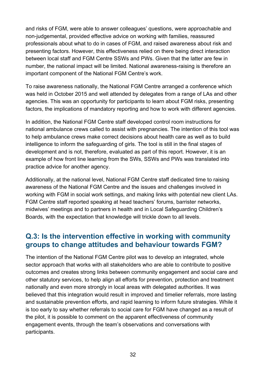and risks of FGM, were able to answer colleagues' questions, were approachable and non-judgemental, provided effective advice on working with families, reassured professionals about what to do in cases of FGM, and raised awareness about risk and presenting factors. However, this effectiveness relied on there being direct interaction between local staff and FGM Centre SSWs and PWs. Given that the latter are few in number, the national impact will be limited. National awareness-raising is therefore an important component of the National FGM Centre's work.

To raise awareness nationally, the National FGM Centre arranged a conference which was held in October 2015 and well attended by delegates from a range of LAs and other agencies. This was an opportunity for participants to learn about FGM risks, presenting factors, the implications of mandatory reporting and how to work with different agencies.

In addition, the National FGM Centre staff developed control room instructions for national ambulance crews called to assist with pregnancies. The intention of this tool was to help ambulance crews make correct decisions about health care as well as to build intelligence to inform the safeguarding of girls. The tool is still in the final stages of development and is not, therefore, evaluated as part of this report. However, it is an example of how front line learning from the SWs, SSWs and PWs was translated into practice advice for another agency.

Additionally, at the national level, National FGM Centre staff dedicated time to raising awareness of the National FGM Centre and the issues and challenges involved in working with FGM in social work settings, and making links with potential new client LAs. FGM Centre staff reported speaking at head teachers' forums, barrister networks, midwives' meetings and to partners in health and in Local Safeguarding Children's Boards, with the expectation that knowledge will trickle down to all levels.

## <span id="page-31-0"></span>**Q.3: Is the intervention effective in working with community groups to change attitudes and behaviour towards FGM?**

The intention of the National FGM Centre pilot was to develop an integrated, whole sector approach that works with all stakeholders who are able to contribute to positive outcomes and creates strong links between community engagement and social care and other statutory services, to help align all efforts for prevention, protection and treatment nationally and even more strongly in local areas with delegated authorities. It was believed that this integration would result in improved and timelier referrals, more lasting and sustainable prevention efforts, and rapid learning to inform future strategies. While it is too early to say whether referrals to social care for FGM have changed as a result of the pilot, it is possible to comment on the apparent effectiveness of community engagement events, through the team's observations and conversations with participants.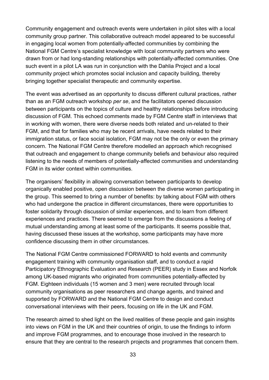Community engagement and outreach events were undertaken in pilot sites with a local community group partner. This collaborative outreach model appeared to be successful in engaging local women from potentially-affected communities by combining the National FGM Centre's specialist knowledge with local community partners who were drawn from or had long-standing relationships with potentially-affected communities. One such event in a pilot LA was run in conjunction with the Dahlia Project and a local community project which promotes social inclusion and capacity building, thereby bringing together specialist therapeutic and community expertise.

The event was advertised as an opportunity to discuss different cultural practices, rather than as an FGM outreach workshop *per se*, and the facilitators opened discussion between participants on the topics of culture and healthy relationships before introducing discussion of FGM. This echoed comments made by FGM Centre staff in interviews that in working with women, there were diverse needs both related and un-related to their FGM, and that for families who may be recent arrivals, have needs related to their immigration status, or face social isolation, FGM may not be the only or even the primary concern. The National FGM Centre therefore modelled an approach which recognised that outreach and engagement to change community beliefs and behaviour also required listening to the needs of members of potentially-affected communities and understanding FGM in its wider context within communities.

The organisers' flexibility in allowing conversation between participants to develop organically enabled positive, open discussion between the diverse women participating in the group. This seemed to bring a number of benefits: by talking about FGM with others who had undergone the practice in different circumstances, there were opportunities to foster solidarity through discussion of similar experiences, and to learn from different experiences and practices. There seemed to emerge from the discussions a feeling of mutual understanding among at least some of the participants. It seems possible that, having discussed these issues at the workshop, some participants may have more confidence discussing them in other circumstances.

The National FGM Centre commissioned FORWARD to hold events and community engagement training with community organisation staff, and to conduct a rapid Participatory [Ethnographic](http://nationalfgmcentre.org.uk/wp-content/uploads/2015/12/Peer-Research-National-FGM-Centre.pdf) Evaluation and Research (PEER) study in Essex and Norfolk among UK-based migrants who originated from communities potentially-affected by FGM. Eighteen individuals (15 women and 3 men) were recruited through local community organisations as peer researchers and change agents, and trained and supported by FORWARD and the National FGM Centre to design and conduct conversational interviews with their peers, focusing on life in the UK and FGM.

The research aimed to shed light on the lived realities of these people and gain insights into views on FGM in the UK and their countries of origin, to use the findings to inform and improve FGM programmes, and to encourage those involved in the research to ensure that they are central to the research projects and programmes that concern them.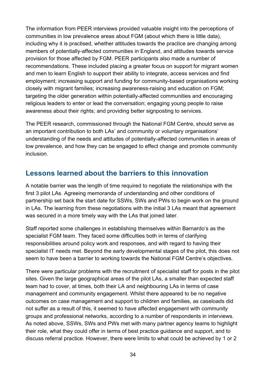The information from PEER interviews provided valuable insight into the perceptions of communities in low prevalence areas about FGM (about which there is little data), including why it is practised, whether attitudes towards the practice are changing among members of potentially-affected communities in England, and attitudes towards service provision for those affected by FGM. PEER participants also made a number of recommendations. These included placing a greater focus on support for migrant women and men to learn English to support their ability to integrate, access services and find employment; increasing support and funding for community-based organisations working closely with migrant families; increasing awareness-raising and education on FGM; targeting the older generation within potentially-affected communities and encouraging religious leaders to enter or lead the conversation; engaging young people to raise awareness about their rights; and providing better signposting to services.

The PEER research, commissioned through the National FGM Centre, should serve as an important contribution to both LAs' and community or voluntary organisations' understanding of the needs and attitudes of potentially-affected communities in areas of low prevalence, and how they can be engaged to effect change and promote community inclusion.

## <span id="page-33-0"></span>**Lessons learned about the barriers to this innovation**

A notable barrier was the length of time required to negotiate the relationships with the first 3 pilot LAs. Agreeing memoranda of understanding and other conditions of partnership set back the start date for SSWs, SWs and PWs to begin work on the ground in LAs. The learning from these negotiations with the initial 3 LAs meant that agreement was secured in a more timely way with the LAs that joined later.

Staff reported some challenges in establishing themselves within Barnardo's as the specialist FGM team. They faced some difficulties both in terms of clarifying responsibilities around policy work and responses, and with regard to having their specialist IT needs met. Beyond the early developmental stages of the pilot, this does not seem to have been a barrier to working towards the National FGM Centre's objectives.

There were particular problems with the recruitment of specialist staff for posts in the pilot sites. Given the large geographical areas of the pilot LAs, a smaller than expected staff team had to cover, at times, both their LA and neighbouring LAs in terms of case management and community engagement. Whilst there appeared to be no negative outcomes on case management and support to children and families, as caseloads did not suffer as a result of this, it seemed to have affected engagement with community groups and professional networks, according to a number of respondents in interviews. As noted above, SSWs, SWs and PWs met with many partner agency teams to highlight their role, what they could offer in terms of best practice guidance and support, and to discuss referral practice. However, there were limits to what could be achieved by 1 or 2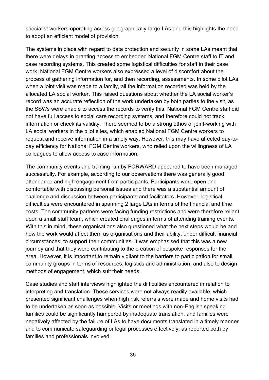specialist workers operating across geographically-large LAs and this highlights the need to adopt an efficient model of provision.

The systems in place with regard to data protection and security in some LAs meant that there were delays in granting access to embedded National FGM Centre staff to IT and case recording systems. This created some logistical difficulties for staff in their case work. National FGM Centre workers also expressed a level of discomfort about the process of gathering information for, and then recording, assessments. In some pilot LAs, when a joint visit was made to a family, all the information recorded was held by the allocated LA social worker. This raised questions about whether the LA social worker's record was an accurate reflection of the work undertaken by both parties to the visit, as the SSWs were unable to access the records to verify this. National FGM Centre staff did not have full access to social care recording systems, and therefore could not track information or check its validity. There seemed to be a strong ethos of joint-working with LA social workers in the pilot sites, which enabled National FGM Centre workers to request and receive information in a timely way. However, this may have affected day-today efficiency for National FGM Centre workers, who relied upon the willingness of LA colleagues to allow access to case information.

The community events and training run by FORWARD appeared to have been managed successfully. For example, according to our observations there was generally good attendance and high engagement from participants. Participants were open and comfortable with discussing personal issues and there was a substantial amount of challenge and discussion between participants and facilitators. However, logistical difficulties were encountered in spanning 2 large LAs in terms of the financial and time costs. The community partners were facing funding restrictions and were therefore reliant upon a small staff team, which created challenges in terms of attending training events. With this in mind, these organisations also questioned what the next steps would be and how the work would affect them as organisations and their ability, under difficult financial circumstances, to support their communities. It was emphasised that this was a new journey and that they were contributing to the creation of bespoke responses for the area. However, it is important to remain vigilant to the barriers to participation for small community groups in terms of resources, logistics and administration, and also to design methods of engagement, which suit their needs.

Case studies and staff interviews highlighted the difficulties encountered in relation to interpreting and translation. These services were not always readily available, which presented significant challenges when high risk referrals were made and home visits had to be undertaken as soon as possible. Visits or meetings with non-English speaking families could be significantly hampered by inadequate translation, and families were negatively affected by the failure of LAs to have documents translated in a timely manner and to communicate safeguarding or legal processes effectively, as reported both by families and professionals involved.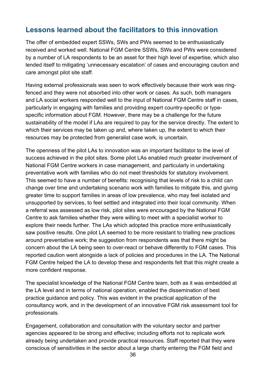## <span id="page-35-0"></span>**Lessons learned about the facilitators to this innovation**

The offer of embedded expert SSWs, SWs and PWs seemed to be enthusiastically received and worked well. National FGM Centre SSWs, SWs and PWs were considered by a number of LA respondents to be an asset for their high level of expertise, which also lended itself to mitigating 'unnecessary escalation' of cases and encouraging caution and care amongst pilot site staff.

Having external professionals was seen to work effectively because their work was ringfenced and they were not absorbed into other work or cases. As such, both managers and LA social workers responded well to the input of National FGM Centre staff in cases, particularly in engaging with families and providing expert country-specific or typespecific information about FGM. However, there may be a challenge for the future sustainability of the model if LAs are required to pay for the service directly. The extent to which their services may be taken up and, where taken up, the extent to which their resources may be protected from generalist case work, is uncertain.

The openness of the pilot LAs to innovation was an important facilitator to the level of success achieved in the pilot sites. Some pilot LAs enabled much greater involvement of National FGM Centre workers in case management, and particularly in undertaking preventative work with families who do not meet thresholds for statutory involvement. This seemed to have a number of benefits: recognising that levels of risk to a child can change over time and undertaking scenario work with families to mitigate this, and giving greater time to support families in areas of low prevalence, who may feel isolated and unsupported by services, to feel settled and integrated into their local community. When a referral was assessed as low risk, pilot sites were encouraged by the National FGM Centre to ask families whether they were willing to meet with a specialist worker to explore their needs further. The LAs which adopted this practice more enthusiastically saw positive results. One pilot LA seemed to be more resistant to trialling new practices around preventative work; the suggestion from respondents was that there might be concern about the LA being seen to over-react or behave differently to FGM cases. This reported caution went alongside a lack of policies and procedures in the LA. The National FGM Centre helped the LA to develop these and respondents felt that this might create a more confident response.

The specialist knowledge of the National FGM Centre team, both as it was embedded at the LA level and in terms of national operation, enabled the dissemination of best practice guidance and policy. This was evident in the practical application of the consultancy work, and in the development of an innovative FGM risk assessment tool for professionals.

Engagement, collaboration and consultation with the voluntary sector and partner agencies appeared to be strong and effective; including efforts not to replicate work already being undertaken and provide practical resources. Staff reported that they were conscious of sensitivities in the sector about a large charity entering the FGM field and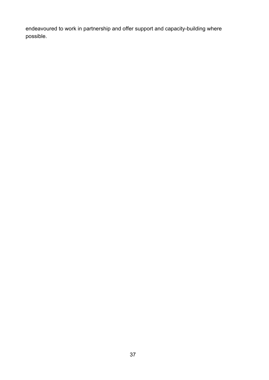endeavoured to work in partnership and offer support and capacity-building where possible.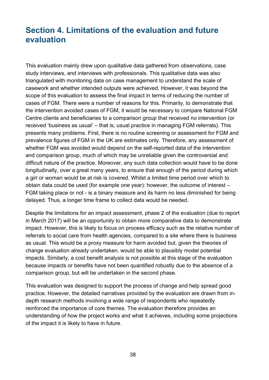# <span id="page-37-0"></span>**Section 4. Limitations of the evaluation and future evaluation**

This evaluation mainly drew upon qualitative data gathered from observations, case study interviews, and interviews with professionals. This qualitative data was also triangulated with monitoring data on case management to understand the scale of casework and whether intended outputs were achieved. However, it was beyond the scope of this evaluation to assess the final impact in terms of reducing the number of cases of FGM. There were a number of reasons for this. Primarily, to demonstrate that the intervention avoided cases of FGM, it would be necessary to compare National FGM Centre clients and beneficiaries to a comparison group that received no intervention (or received 'business as usual' – that is, usual practice in managing FGM referrals). This presents many problems. First, there is no routine screening or assessment for FGM and prevalence figures of FGM in the UK are estimates only. Therefore, any assessment of whether FGM was avoided would depend on the self-reported data of the intervention and comparison group, much of which may be unreliable given the controversial and difficult nature of the practice. Moreover, any such data collection would have to be done longitudinally, over a great many years, to ensure that enough of the period during which a girl or woman would be at risk is covered. Whilst a limited time period over which to obtain data could be used (for example one year): however, the outcome of interest – FGM taking place or not - is a binary measure and its harm no less diminished for being delayed. Thus, a longer time frame to collect data would be needed.

Despite the limitations for an impact assessment, phase 2 of the evaluation (due to report in March 2017) will be an opportunity to obtain more comparative data to demonstrate impact. However, this is likely to focus on process efficacy such as the relative number of referrals to social care from health agencies, compared to a site where there is business as usual. This would be a proxy measure for harm avoided but, given the theories of change evaluation already undertaken, would be able to plausibly model potential impacts. Similarly, a cost benefit analysis is not possible at this stage of the evaluation because impacts or benefits have not been quantified robustly due to the absence of a comparison group, but will be undertaken in the second phase.

This evaluation was designed to support the process of change and help spread good practice. However, the detailed narratives provided by the evaluation are drawn from indepth research methods involving a wide range of respondents who repeatedly reinforced the importance of core themes. The evaluation therefore provides an understanding of how the project works and what it achieves, including some projections of the impact it is likely to have in future.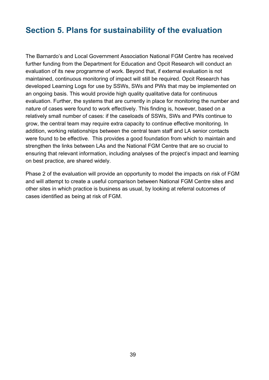# <span id="page-38-0"></span>**Section 5. Plans for sustainability of the evaluation**

The Barnardo's and Local Government Association National FGM Centre has received further funding from the Department for Education and Opcit Research will conduct an evaluation of its new programme of work. Beyond that, if external evaluation is not maintained, continuous monitoring of impact will still be required. Opcit Research has developed Learning Logs for use by SSWs, SWs and PWs that may be implemented on an ongoing basis. This would provide high quality qualitative data for continuous evaluation. Further, the systems that are currently in place for monitoring the number and nature of cases were found to work effectively. This finding is, however, based on a relatively small number of cases: if the caseloads of SSWs, SWs and PWs continue to grow, the central team may require extra capacity to continue effective monitoring. In addition, working relationships between the central team staff and LA senior contacts were found to be effective. This provides a good foundation from which to maintain and strengthen the links between LAs and the National FGM Centre that are so crucial to ensuring that relevant information, including analyses of the project's impact and learning on best practice, are shared widely.

Phase 2 of the evaluation will provide an opportunity to model the impacts on risk of FGM and will attempt to create a useful comparison between National FGM Centre sites and other sites in which practice is business as usual, by looking at referral outcomes of cases identified as being at risk of FGM.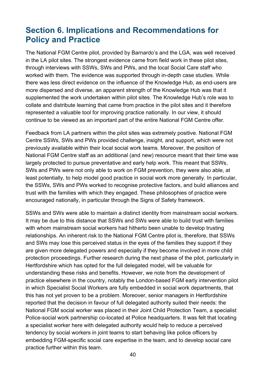# <span id="page-39-0"></span>**Section 6. Implications and Recommendations for Policy and Practice**

The National FGM Centre pilot, provided by Barnardo's and the LGA, was well received in the LA pilot sites. The strongest evidence came from field work in these pilot sites, through interviews with SSWs, SWs and PWs, and the local Social Care staff who worked with them. The evidence was supported through in-depth case studies. While there was less direct evidence on the influence of the Knowledge Hub, as end-users are more dispersed and diverse, an apparent strength of the Knowledge Hub was that it supplemented the work undertaken within pilot sites. The Knowledge Hub's role was to collate and distribute learning that came from practice in the pilot sites and it therefore represented a valuable tool for improving practice nationally. In our view, it should continue to be viewed as an important part of the entire National FGM Centre offer.

Feedback from LA partners within the pilot sites was extremely positive. National FGM Centre SSWs, SWs and PWs provided challenge, insight, and support, which were not previously available within their local social work teams. Moreover, the position of National FGM Centre staff as an additional (and new) resource meant that their time was largely protected to pursue preventative and early help work. This meant that SSWs, SWs and PWs were not only able to work on FGM prevention, they were also able, at least potentially, to help model good practice in social work more generally. In particular, the SSWs, SWs and PWs worked to recognise protective factors, and build alliances and trust with the families with which they engaged. These philosophies of practice were encouraged nationally, in particular through the Signs of Safety framework.

SSWs and SWs were able to maintain a distinct identity from mainstream social workers. It may be due to this distance that SSWs and SWs were able to build trust with families with whom mainstream social workers had hitherto been unable to develop trusting relationships. An inherent risk to the National FGM Centre pilot is, therefore, that SSWs and SWs may lose this perceived status in the eyes of the families they support if they are given more delegated powers and especially if they become involved in more child protection proceedings. Further research during the next phase of the pilot, particularly in Hertfordshire which has opted for the full delegated model, will be valuable for understanding these risks and benefits. However, we note from the development of practice elsewhere in the country, notably the London-based FGM early intervention pilot in which Specialist Social Workers are fully embedded in social work departments, that this has not yet proven to be a problem. Moreover, senior managers in Hertfordshire reported that the decision in favour of full delegated authority suited their needs: the National FGM social worker was placed in their Joint Child Protection Team, a specialist Police-social work partnership co-located at Police headquarters. It was felt that locating a specialist worker here with delegated authority would help to reduce a perceived tendency by social workers in joint teams to start behaving like police officers by embedding FGM-specific social care expertise in the team, and to develop social care practice further within this team.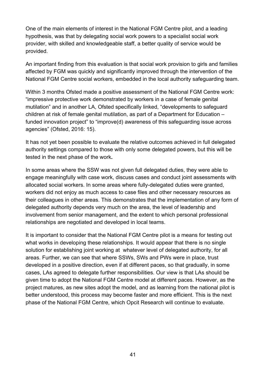One of the main elements of interest in the National FGM Centre pilot, and a leading hypothesis, was that by delegating social work powers to a specialist social work provider, with skilled and knowledgeable staff, a better quality of service would be provided.

An important finding from this evaluation is that social work provision to girls and families affected by FGM was quickly and significantly improved through the intervention of the National FGM Centre social workers, embedded in the local authority safeguarding team.

Within 3 months Ofsted made a positive assessment of the National FGM Centre work: "impressive protective work demonstrated by workers in a case of female genital mutilation" and in another LA, Ofsted specifically linked, "developments to safeguard children at risk of female genital mutilation, as part of a Department for Education – funded innovation project" to "improve(d) awareness of this safeguarding issue across agencies" (Ofsted, 2016: 15).

It has not yet been possible to evaluate the relative outcomes achieved in full delegated authority settings compared to those with only some delegated powers, but this will be tested in the next phase of the work**.**

In some areas where the SSW was not given full delegated duties, they were able to engage meaningfully with case work, discuss cases and conduct joint assessments with allocated social workers. In some areas where fully-delegated duties were granted, workers did not enjoy as much access to case files and other necessary resources as their colleagues in other areas. This demonstrates that the implementation of any form of delegated authority depends very much on the area, the level of leadership and involvement from senior management, and the extent to which personal professional relationships are negotiated and developed in local teams.

It is important to consider that the National FGM Centre pilot is a means for testing out what works in developing these relationships. It would appear that there is no single solution for establishing joint working at whatever level of delegated authority, for all areas. Further, we can see that where SSWs, SWs and PWs were in place, trust developed in a positive direction, even if at different paces, so that gradually, in some cases, LAs agreed to delegate further responsibilities. Our view is that LAs should be given time to adopt the National FGM Centre model at different paces. However, as the project matures, as new sites adopt the model, and as learning from the national pilot is better understood, this process may become faster and more efficient. This is the next phase of the National FGM Centre, which Opcit Research will continue to evaluate.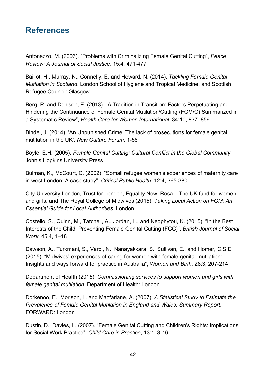# <span id="page-41-0"></span>**References**

Antonazzo, M. (2003). "Problems with Criminalizing Female Genital Cutting", *Peace Review: A Journal of Social Justice*, 15:4, 471-477

Baillot, H., Murray, N., Connelly, E. and Howard, N. (2014). *Tackling Female Genital Mutilation in Scotland*. London School of Hygiene and Tropical Medicine, and Scottish Refugee Council: Glasgow

Berg, R. and Denison, E. (2013). "A Tradition in Transition: Factors Perpetuating and Hindering the Continuance of Female Genital Mutilation/Cutting (FGM/C) Summarized in a Systematic Review", *Health Care for Women International*, 34:10, 837–859

Bindel, J. (2014). 'An Unpunished Crime: The lack of prosecutions for female genital mutilation in the UK', *New Culture Forum*, 1-58

Boyle, E.H. (2005). *Female Genital Cutting: Cultural Conflict in the Global Community*. John's Hopkins University Press

Bulman, K., McCourt, C. (2002). "Somali refugee women's experiences of maternity care in west London: A case study", *Critical Public Health*, 12:4, 365-380

City University London, Trust for London, Equality Now, Rosa – The UK fund for women and girls, and The Royal College of Midwives (2015). *Taking Local Action on FGM: An Essential Guide for Local Authorities*. London

Costello, S., Quinn, M., Tatchell, A., Jordan, L., and Neophytou, K. (2015). "In the Best Interests of the Child: Preventing Female Genital Cutting (FGC)", *British Journal of Social Work*, 45:4, 1–18

Dawson, A., Turkmani, S., Varol, N., Nanayakkara, S., Sullivan, E., and Homer, C.S.E. (2015). "Midwives' experiences of caring for women with female genital mutilation: Insights and ways forward for practice in Australia", *Women and Birth*, 28:3, 207-214

Department of Health (2015). *Commissioning services to support women and girls with female genital mutilation*. Department of Health: London

Dorkenoo, E., Morison, L. and Macfarlane, A. (2007). *A Statistical Study to Estimate the Prevalence of Female Genital Mutilation in England and Wales: Summary Report*. FORWARD: London

Dustin, D., Davies, L. (2007). "Female Genital Cutting and Children's Rights: Implications for Social Work Practice", *Child Care in Practice*, 13:1, 3-16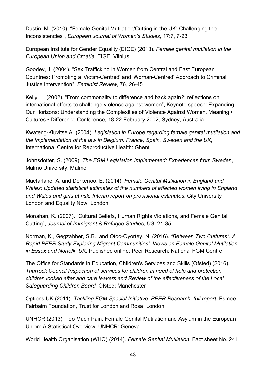Dustin, M. (2010). "Female Genital Mutilation/Cutting in the UK: Challenging the Inconsistencies", *European Journal of Women's Studies*, 17:7, 7-23

European Institute for Gender Equality (EIGE) (2013). *Female genital mutilation in the European Union and Croatia*, EIGE: Vilnius

Goodey, J. (2004). "Sex Trafficking in Women from Central and East European Countries: Promoting a 'Victim-Centred' and 'Woman-Centred' Approach to Criminal Justice Intervention", *Feminist Review*, 76, 26-45

Kelly, L. (2002). "From commonality to difference and back again?: reflections on international efforts to challenge violence against women", Keynote speech: Expanding Our Horizons: Understanding the Complexities of Violence Against Women. Meaning • Cultures • Difference Conference, 18-22 February 2002, Sydney, Australia

Kwateng-Kluvitse A. (2004). *Legislation in Europe regarding female genital mutilation and the implementation of the law in Belgium, France, Spain, Sweden and the UK*, International Centre for Reproductive Health: Ghent

Johnsdotter, S. (2009). *The FGM Legislation Implemented: Experiences from Sweden*, Malmö University: Malmö

Macfarlane, A. and Dorkenoo, E. (2014). *Female Genital Mutilation in England and Wales: Updated statistical estimates of the numbers of affected women living in England and Wales and girls at risk. Interim report on provisional estimates*. City University London and Equality Now: London

Monahan, K. (2007). "Cultural Beliefs, Human Rights Violations, and Female Genital Cutting", *Journal of Immigrant & Refugee Studies*, 5:3, 21-35

Norman, K., Gegzabher, S.B., and Otoo-Oyortey, N. (2016). *"Between Two Cultures": A Rapid PEER Study Exploring Migrant Communities'. Views on Female Genital Mutilation in Essex and Norfolk, UK*. Published online: [Peer Research: National FGM Centre](http://nationalfgmcentre.org.uk/wp-content/uploads/2015/12/Peer-Research-National-FGM-Centre.pdf)

The Office for Standards in Education, Children's Services and Skills (Ofsted) (2016). *Thurrock Council Inspection of services for children in need of help and protection, children looked after and care leavers and Review of the effectiveness of the Local Safeguarding Children Board.* Ofsted: Manchester

Options UK (2011). *Tackling FGM Special Initiative: PEER Research, full report*. Esmee Fairbairn Foundation, Trust for London and Rosa: London

UNHCR (2013). Too Much Pain. Female Genital Mutilation and Asylum in the European Union: A Statistical Overview, UNHCR: Geneva

World Health Organisation (WHO) (2014). *Female Genital Mutilation*. Fact sheet No. 241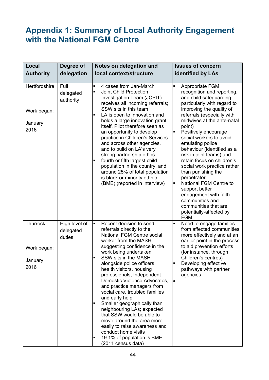# <span id="page-43-0"></span>**Appendix 1: Summary of Local Authority Engagement with the National FGM Centre**

| Local                                           | Degree of                            | Notes on delegation and                                                                                                                                                                                                                                                                                                                                                                                                                                                                                                                                                                                                                                                            | <b>Issues of concern</b>                                                                                                                                                                                                                                                                                                                                                                                                                                                                                                                                                                                                          |  |  |
|-------------------------------------------------|--------------------------------------|------------------------------------------------------------------------------------------------------------------------------------------------------------------------------------------------------------------------------------------------------------------------------------------------------------------------------------------------------------------------------------------------------------------------------------------------------------------------------------------------------------------------------------------------------------------------------------------------------------------------------------------------------------------------------------|-----------------------------------------------------------------------------------------------------------------------------------------------------------------------------------------------------------------------------------------------------------------------------------------------------------------------------------------------------------------------------------------------------------------------------------------------------------------------------------------------------------------------------------------------------------------------------------------------------------------------------------|--|--|
| <b>Authority</b>                                | delegation                           | local context/structure                                                                                                                                                                                                                                                                                                                                                                                                                                                                                                                                                                                                                                                            | identified by LAs                                                                                                                                                                                                                                                                                                                                                                                                                                                                                                                                                                                                                 |  |  |
|                                                 |                                      |                                                                                                                                                                                                                                                                                                                                                                                                                                                                                                                                                                                                                                                                                    |                                                                                                                                                                                                                                                                                                                                                                                                                                                                                                                                                                                                                                   |  |  |
| Hertfordshire<br>Work began:<br>January<br>2016 | Full<br>delegated<br>authority       | 4 cases from Jan-March<br>٠<br><b>Joint Child Protection</b><br>$\blacksquare$<br>Investigation Team (JCPIT)<br>receives all incoming referrals;<br>SSW sits in this team<br>LA is open to innovation and<br>٠<br>holds a large innovation grant<br>itself. Pilot therefore seen as<br>an opportunity to develop<br>practice in Children's Services<br>and across other agencies,<br>and to build on LA's very<br>strong partnership ethos<br>fourth or fifth largest child<br>٠<br>population in the country, and<br>around 25% of total population<br>is black or minority ethnic<br>(BME) (reported in interview)                                                               | Appropriate FGM<br>٠<br>recognition and reporting,<br>and child safeguarding,<br>particularly with regard to<br>improving the quality of<br>referrals (especially with<br>midwives at the ante-natal<br>point)<br>Positively encourage<br>٠<br>social workers to avoid<br>emulating police<br>behaviour (identified as a<br>risk in joint teams) and<br>retain focus on children's<br>social work practice rather<br>than punishing the<br>perpetrator<br>National FGM Centre to<br>$\blacksquare$<br>support better<br>engagement with faith<br>communities and<br>communities that are<br>potentially-affected by<br><b>FGM</b> |  |  |
| Thurrock<br>Work began:<br>January<br>2016      | High level of<br>delegated<br>duties | $\blacksquare$<br>Recent decision to send<br>referrals directly to the<br><b>National FGM Centre social</b><br>worker from the MASH,<br>suggesting confidence in the<br>work being undertaken<br>SSW sits in the MASH<br>٠<br>alongside police officers,<br>health visitors, housing<br>professionals, Independent<br>Domestic Violence Advocates,<br>and practice managers from<br>social care, troubled families<br>and early help.<br>Smaller geographically than<br>٠<br>neighbouring LAs; expected<br>that SSW would be able to<br>move around the area more<br>easily to raise awareness and<br>conduct home visits<br>19.1% of population is BME<br>п<br>(2011 census data) | Need to engage families<br>$\blacksquare$<br>from affected communities<br>more effectively and at an<br>earlier point in the process<br>to aid prevention efforts<br>(for instance, through<br>Children's centres)<br>Developing effective<br>pathways with partner<br>agencies<br>$\bullet$                                                                                                                                                                                                                                                                                                                                      |  |  |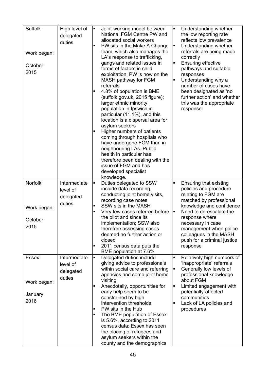| Suffolk<br>Work began:<br>October<br>2015      | High level of<br>delegated<br>duties            | $\blacksquare$<br>٠<br>٠ | Joint-working model between<br>National FGM Centre PW and<br>allocated social workers<br>PW sits in the Make A Change<br>team, which also manages the<br>LA's response to trafficking,<br>gangs and related issues in<br>terms of factors in child<br>exploitation. PW is now on the<br>MASH pathway for FGM<br>referrals<br>4.8% of population is BME<br>(suffolk.gov.uk, 2015 figure);<br>larger ethnic minority<br>population in Ipswich in<br>particular (11.1%), and this<br>location is a dispersal area for<br>asylum seekers<br>Higher numbers of patients<br>coming through hospitals who<br>have undergone FGM than in<br>neighbouring LAs. Public<br>health in particular has<br>therefore been dealing with the<br>issue of FGM and has<br>developed specialist<br>knowledge. | ٠<br>Е<br>$\blacksquare$<br>$\blacksquare$ | Understanding whether<br>the low reporting rate<br>reflects low prevalence<br>Understanding whether<br>referrals are being made<br>correctly<br><b>Ensuring effective</b><br>pathways and suitable<br>responses<br>Understanding why a<br>number of cases have<br>been designated as 'no<br>further action' and whether<br>this was the appropriate<br>response. |
|------------------------------------------------|-------------------------------------------------|--------------------------|-------------------------------------------------------------------------------------------------------------------------------------------------------------------------------------------------------------------------------------------------------------------------------------------------------------------------------------------------------------------------------------------------------------------------------------------------------------------------------------------------------------------------------------------------------------------------------------------------------------------------------------------------------------------------------------------------------------------------------------------------------------------------------------------|--------------------------------------------|------------------------------------------------------------------------------------------------------------------------------------------------------------------------------------------------------------------------------------------------------------------------------------------------------------------------------------------------------------------|
| Norfolk<br>Work began:<br>October<br>2015      | Intermediate<br>level of<br>delegated<br>duties | ٠<br>٠<br>٠<br>٠         | Duties delegated to SSW<br>include data recording,<br>conducting joint home visits,<br>recording case notes<br>SSW sits in the MASH<br>Very few cases referred before<br>the pilot and since its<br>implementation; SSW also<br>therefore assessing cases<br>deemed no further action or<br>closed<br>2011 census data puts the<br>BME population at 7.6%                                                                                                                                                                                                                                                                                                                                                                                                                                 | $\blacksquare$<br>$\blacksquare$           | Ensuring that existing<br>policies and procedure<br>relating to FGM are<br>matched by professional<br>knowledge and confidence<br>Need to de-escalate the<br>response where<br>necessary in case<br>management when police<br>colleagues in the MASH<br>push for a criminal justice<br>response                                                                  |
| <b>Essex</b><br>Work began:<br>January<br>2016 | Intermediate<br>level of<br>delegated<br>duties | ٠<br>٠<br>٠<br>٠         | Delegated duties include<br>giving advice to professionals<br>within social care and referring<br>agencies and some joint home<br>visiting<br>Anecdotally, opportunities for<br>early help seem to be<br>constrained by high<br>intervention thresholds<br>PW sits in the Hub<br>The BME population of Essex<br>is 5.6%, according to 2011<br>census data; Essex has seen<br>the placing of refugees and<br>asylum seekers within the<br>county and the demographics                                                                                                                                                                                                                                                                                                                      | ٠<br>$\blacksquare$<br>$\blacksquare$      | Relatively high numbers of<br>'inappropriate' referrals<br>Generally low levels of<br>professional knowledge<br>about FGM<br>Limited engagement with<br>potentially-affected<br>communities<br>Lack of LA policies and<br>procedures                                                                                                                             |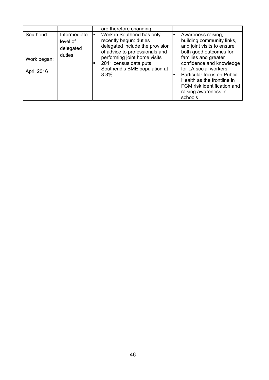|                                       |                                                 |   | are therefore changing                                                                                                                                                                                                    |                                                                                                                                                                                                                                                                                                                    |
|---------------------------------------|-------------------------------------------------|---|---------------------------------------------------------------------------------------------------------------------------------------------------------------------------------------------------------------------------|--------------------------------------------------------------------------------------------------------------------------------------------------------------------------------------------------------------------------------------------------------------------------------------------------------------------|
| Southend<br>Work began:<br>April 2016 | Intermediate<br>level of<br>delegated<br>duties | п | Work in Southend has only<br>recently begun: duties<br>delegated include the provision<br>of advice to professionals and<br>performing joint home visits<br>2011 census data puts<br>Southend's BME population at<br>8.3% | Awareness raising,<br>building community links,<br>and joint visits to ensure<br>both good outcomes for<br>families and greater<br>confidence and knowledge<br>for LA social workers<br>Particular focus on Public<br>Health as the frontline in<br>FGM risk identification and<br>raising awareness in<br>schools |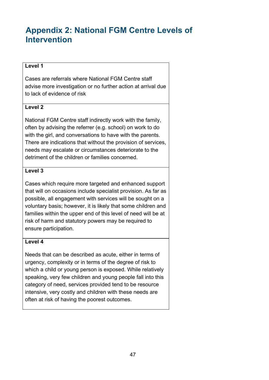# <span id="page-46-0"></span>**Appendix 2: National FGM Centre Levels of Intervention**

#### **Level 1**

Cases are referrals where National FGM Centre staff advise more investigation or no further action at arrival due to lack of evidence of risk

#### **Level 2**

National FGM Centre staff indirectly work with the family, often by advising the referrer (e.g. school) on work to do with the girl, and conversations to have with the parents. There are indications that without the provision of services, needs may escalate or circumstances deteriorate to the detriment of the children or families concerned.

#### **Level 3**

Cases which require more targeted and enhanced support that will on occasions include specialist provision. As far as possible, all engagement with services will be sought on a voluntary basis; however, it is likely that some children and families within the upper end of this level of need will be at risk of harm and statutory powers may be required to ensure participation.

#### **Level 4**

Needs that can be described as acute, either in terms of urgency, complexity or in terms of the degree of risk to which a child or young person is exposed. While relatively speaking, very few children and young people fall into this category of need, services provided tend to be resource intensive, very costly and children with these needs are often at risk of having the poorest outcomes.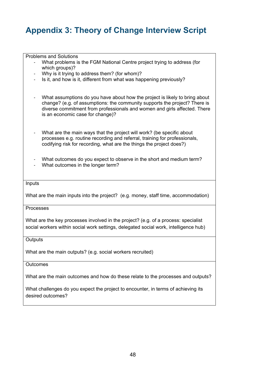# <span id="page-47-0"></span>**Appendix 3: Theory of Change Interview Script**

Problems and Solutions What problems is the FGM National Centre project trying to address (for which groups)? - Why is it trying to address them? (for whom)?<br>- Is it and how is it different from what was hare Is it, and how is it, different from what was happening previously? - What assumptions do you have about how the project is likely to bring about change? (e.g. of assumptions: the community supports the project? There is diverse commitment from professionals and women and girls affected. There is an economic case for change)? - What are the main ways that the project will work? (be specific about processes e.g. routine recording and referral, training for professionals, codifying risk for recording, what are the things the project does?) What outcomes do you expect to observe in the short and medium term? What outcomes in the longer term? Inputs What are the main inputs into the project? (e.g. money, staff time, accommodation) Processes What are the key processes involved in the project? (e.g. of a process: specialist social workers within social work settings, delegated social work, intelligence hub)

**Outputs** 

What are the main outputs? (e.g. social workers recruited)

**Outcomes** 

What are the main outcomes and how do these relate to the processes and outputs?

What challenges do you expect the project to encounter, in terms of achieving its desired outcomes?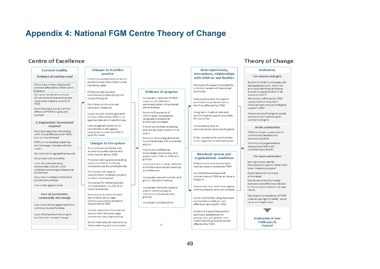## **Appendix 4: National FGM Centre Theory of Change**

#### Centre of Excellence

#### **Current reality**

**Evidence of existing need** 

Growing number of girls and women affected by FGM within England \_\_\_\_\_\_\_\_\_\_\_\_\_\_\_ Complex social and cultural dimensions of preventing new cases and treating victims of EGM

Multi-faceted, acute harmful effects of FGM on girls and women

A fraamented, inconsistent response

Multiple agencies interacting with those affected with FGM. but un-coordinated

<span id="page-48-0"></span>Difficult to develop expertise and strategy in areas with few cases

No commonly agreed framework

No prosecutions to date

Lack of understanding, awareness, concern, and confidence among professional audiences

Very low numbers in the child protection process

Low inter-agency trust

#### Lack of sustainable, community led-change

Low trust and engagement from community and families

Lack of empowerment in girls and women to lead change

**Changes to frontline** practice Frontline professionals draw on

evidence and information when handling cases

Professionals develop confidence in identifying and supporting girls

Eacilitate community-led outreach initiatives

Listen to and involve girls and women affected by FGM in an appropriate and impactful way

Use delegated authority to coordinate multi-agency responses to address FGM in snacificcases

Changes to the system

Give relevant professionals access to quality advice and information about FGM

Provide training and consulting opportunities to build key competencies for professionals

Facilitate inter-agency coordination to better prevent. protect, and support

Campaignfor better policies and legislation, as well as to raise awareness

Evaluate practice and share learning to encourage continuous improvement of responses to FGM

Create networks of protective adults who can encourage prevention and sign-posting

Build international networks to share learning and coordinate

#### **Evidence of progress**

Increase in referrals of FGM casesto LA children's services/police in the shared service areas

Amount/frequency of information accessed by targeted processional audiences increases

3 local authorities accessing shared services model in first vears

Amount of training delivered to professionals and protective adults

Improved confidence. knowledge, awareness, and expertise in FGM in different groupe

Improvement in local, national and international partnerships and alliances

Increased voice of women and girls in decision-making

Increased skills and capacity within communities to influence individuals and groups

Increase in prosecutions

 $\Lambda$ 

Pathway of support provided for victims in areas with devolved authority

New experiences.

interactions, relationships

with children and families

Improved quality of support provided by professionals to families affected by FGM

Long-term medical care and psychological support provided for survivors

Increased quality of service/response across England

> Girls, women and communities work together to address issues

New local system and

organisational conditions Empowered women and girls lead process to eradicate FGM

Sustained awareness and concern about FGM as an issue in

England Improved inter- and intra- agency

communication and coordination Local authorities using devolved

authorities to deliver cost effective services for FGM

Evidence based intervention pathway established for prevention, protection, and treatment of girls and women affected by FGM

#### **Theory of Change**

#### **Outcomes** For women and airls By end of 2015 in all areas with delegated powers, all at risk girls are identified and have access to support (and in all areas by 2017) All women affected by FGM signposted to long-term medical care and psychological support offer Improved psychological, social, and physical well-being for women and girls In the community FGM no longer supported by community leaders and protective adults Community organisations addressing FGM with confidence and skill **For local authorities** Savings due to earlier therapeutic support rather than later intensive support Duplications in work are eliminated Devolved authority model delivers cost-effective solution for local authorities to manage cases Decrease in prevalence of FGM creates savings in health, social care, and legal costs **Eradication of new FGM** cases in

England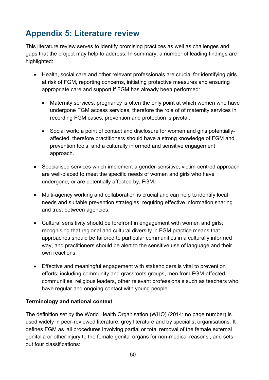# <span id="page-49-0"></span>**Appendix 5: Literature review**

This literature review serves to identify promising practices as well as challenges and gaps that the project may help to address. In summary, a number of leading findings are highlighted:

- Health, social care and other relevant professionals are crucial for identifying girls at risk of FGM, reporting concerns, initiating protective measures and ensuring appropriate care and support if FGM has already been performed:
	- Maternity services: pregnancy is often the only point at which women who have undergone FGM access services, therefore the role of of maternity services in recording FGM cases, prevention and protection is pivotal.
	- Social work: a point of contact and disclosure for women and girls potentiallyaffected, therefore practitioners should have a strong knowledge of FGM and prevention tools, and a culturally informed and sensitive engagement approach.
- Specialised services which implement a gender-sensitive, victim-centred approach are well-placed to meet the specific needs of women and girls who have undergone, or are potentially affected by, FGM.
- Multi-agency working and collaboration is crucial and can help to identify local needs and suitable prevention strategies, requiring effective information sharing and trust between agencies.
- Cultural sensitivity should be forefront in engagement with women and girls; recognising that regional and cultural diversity in FGM practice means that approaches should be tailored to particular communities in a culturally informed way, and practitioners should be alert to the sensitive use of language and their own reactions.
- Effective and meaningful engagement with stakeholders is vital to prevention efforts; including community and grassroots groups, men from FGM-affected communities, religious leaders, other relevant professionals such as teachers who have regular and ongoing contact with young people.

#### **Terminology and national context**

The definition set by the World Health Organisation (WHO) (2014: no page number) is used widely in peer-reviewed literature, grey literature and by specialist organisations. It defines FGM as 'all procedures involving partial or total removal of the female external genitalia or other injury to the female genital organs for non-medical reasons', and sets out four classifications: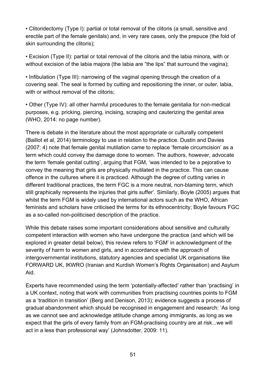• Clitoridectomy (Type I): partial or total removal of the clitoris (a small, sensitive and erectile part of the female genitals) and, in very rare cases, only the prepuce (the fold of skin surrounding the clitoris);

• Excision (Type II): partial or total removal of the clitoris and the labia minora, with or without excision of the labia majora (the labia are "the lips" that surround the vagina);

• Infibulation (Type III): narrowing of the vaginal opening through the creation of a covering seal. The seal is formed by cutting and repositioning the inner, or outer, labia, with or without removal of the clitoris;

• Other (Type IV): all other harmful procedures to the female genitalia for non-medical purposes, e.g. pricking, piercing, incising, scraping and cauterizing the genital area (WHO, 2014: no page number).

There is debate in the literature about the most appropriate or culturally competent (Baillot et al, 2014) terminology to use in relation to the practice. Dustin and Davies (2007: 4) note that female genital mutilation came to replace 'female circumcision' as a term which could convey the damage done to women. The authors, however, advocate the term 'female genital cutting', arguing that FGM, 'was intended to be a pejorative to convey the meaning that girls are physically mutilated in the practice. This can cause offence in the cultures where it is practiced. Although the degree of cutting varies in different traditional practices, the term FGC is a more neutral, non-blaming term, which still graphically represents the injuries that girls suffer'. Similarly, Boyle (2005) argues that whilst the term FGM is widely used by international actors such as the WHO, African feminists and scholars have criticised the terms for its ethnocentricity; Boyle favours FGC as a so-called non-politicised description of the practice.

While this debate raises some important considerations about sensitive and culturally competent interaction with women who have undergone the practice (and which will be explored in greater detail below), this review refers to 'FGM' in acknowledgment of the severity of harm to women and girls, and in accordance with the approach of intergovernmental institutions, statutory agencies and specialist UK organisations like FORWARD UK, IKWRO (Iranian and Kurdish Women's Rights Organisation) and Asylum Aid.

Experts have recommended using the term 'potentially-affected' rather than 'practising' in a UK context, noting that work with communities from practising countries points to FGM as a 'tradition in transition' (Berg and Denison, 2013); evidence suggests a process of gradual abandonment which should be recognised in engagement and research: 'As long as we cannot see and acknowledge attitude change among immigrants, as long as we expect that the girls of every family from an FGM-practising country are at risk...we will act in a less than professional way' (Johnsdotter, 2009: 11).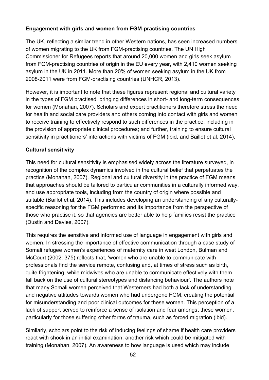#### **Engagement with girls and women from FGM-practising countries**

The UK, reflecting a similar trend in other Western nations, has seen increased numbers of women migrating to the UK from FGM-practising countries. The UN High Commissioner for Refugees reports that around 20,000 women and girls seek asylum from FGM-practising countries of origin in the EU every year, with 2,410 women seeking asylum in the UK in 2011. More than 20% of women seeking asylum in the UK from 2008-2011 were from FGM-practising countries (UNHCR, 2013).

However, it is important to note that these figures represent regional and cultural variety in the types of FGM practised, bringing differences in short- and long-term consequences for women (Monahan, 2007). Scholars and expert practitioners therefore stress the need for health and social care providers and others coming into contact with girls and women to receive training to effectively respond to such differences in the practice, including in the provision of appropriate clinical procedures; and further, training to ensure cultural sensitivity in practitioners' interactions with victims of FGM (ibid, and Baillot et al, 2014).

#### **Cultural sensitivity**

This need for cultural sensitivity is emphasised widely across the literature surveyed, in recognition of the complex dynamics involved in the cultural belief that perpetuates the practice (Monahan, 2007). Regional and cultural diversity in the practice of FGM means that approaches should be tailored to particular communities in a culturally informed way, and use appropriate tools, including from the country of origin where possible and suitable (Baillot et al, 2014). This includes developing an understanding of any culturallyspecific reasoning for the FGM performed and its importance from the perspective of those who practise it, so that agencies are better able to help families resist the practice (Dustin and Davies, 2007).

This requires the sensitive and informed use of language in engagement with girls and women. In stressing the importance of effective communication through a case study of Somali refugee women's experiences of maternity care in west London, Bulman and McCourt (2002: 375) reflects that, 'women who are unable to communicate with professionals find the service remote, confusing and, at times of stress such as birth, quite frightening, while midwives who are unable to communicate effectively with them fall back on the use of cultural stereotypes and distancing behaviour'. The authors note that many Somali women perceived that Westerners had both a lack of understanding and negative attitudes towards women who had undergone FGM, creating the potential for misunderstanding and poor clinical outcomes for these women. This perception of a lack of support served to reinforce a sense of isolation and fear amongst these women, particularly for those suffering other forms of trauma, such as forced migration (ibid).

Similarly, scholars point to the risk of inducing feelings of shame if health care providers react with shock in an initial examination: another risk which could be mitigated with training (Monahan, 2007). An awareness to how language is used which may include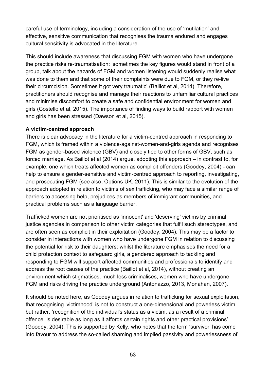careful use of terminology, including a consideration of the use of 'mutilation' and effective, sensitive communication that recognises the trauma endured and engages cultural sensitivity is advocated in the literature.

This should include awareness that discussing FGM with women who have undergone the practice risks re-traumatisation: 'sometimes the key figures would stand in front of a group, talk about the hazards of FGM and women listening would suddenly realise what was done to them and that some of their complaints were due to FGM, or they re-live their circumcision. Sometimes it got very traumatic' (Baillot et al, 2014). Therefore, practitioners should recognise and manage their reactions to unfamiliar cultural practices and minimise discomfort to create a safe and confidential environment for women and girls (Costello et al, 2015). The importance of finding ways to build rapport with women and girls has been stressed (Dawson et al, 2015).

#### **A victim-centred approach**

There is clear advocacy in the literature for a victim-centred approach in responding to FGM, which is framed within a violence-against-women-and-girls agenda and recognises FGM as gender-based violence (GBV) and closely tied to other forms of GBV, such as forced marriage. As Baillot et al (2014) argue, adopting this approach – in contrast to, for example, one which treats affected women as complicit offenders (Goodey, 2004) - can help to ensure a gender-sensitive and victim-centred approach to reporting, investigating, and prosecuting FGM (see also, Options UK, 2011). This is similar to the evolution of the approach adopted in relation to victims of sex trafficking, who may face a similar range of barriers to accessing help, prejudices as members of immigrant communities, and practical problems such as a language barrier.

Trafficked women are not prioritised as 'innocent' and 'deserving' victims by criminal justice agencies in comparison to other victim categories that fulfil such stereotypes, and are often seen as complicit in their exploitation (Goodey, 2004). This may be a factor to consider in interactions with women who have undergone FGM in relation to discussing the potential for risk to their daughters: whilst the literature emphasises the need for a child protection context to safeguard girls, a gendered approach to tackling and responding to FGM will support affected communities and professionals to identify and address the root causes of the practice (Baillot et al, 2014), without creating an environment which stigmatises, much less criminalises, women who have undergone FGM and risks driving the practice underground (Antonazzo, 2013, Monahan, 2007).

It should be noted here, as Goodey argues in relation to trafficking for sexual exploitation, that recognising 'victimhood' is not to construct a one-dimensional and powerless victim, but rather, 'recognition of the individual's status as a victim, as a result of a criminal offence, is desirable as long as it affords certain rights and other practical provisions' (Goodey, 2004). This is supported by Kelly, who notes that the term 'survivor' has come into favour to address the so-called shaming and implied passivity and powerlessness of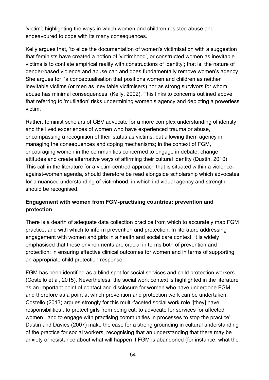'victim'; highlighting the ways in which women and children resisted abuse and endeavoured to cope with its many consequences.

Kelly argues that, 'to elide the documentation of women's victimisation with a suggestion that feminists have created a notion of 'victimhood', or constructed women as inevitable victims is to conflate empirical reality with constructions of identity'; that is, the nature of gender-based violence and abuse can and does fundamentally remove women's agency. She argues for, 'a conceptualisation that positions women and children as neither inevitable victims (or men as inevitable victimisers) nor as strong survivors for whom abuse has minimal consequences' (Kelly, 2002). This links to concerns outlined above that referring to 'mutilation' risks undermining women's agency and depicting a powerless victim.

Rather, feminist scholars of GBV advocate for a more complex understanding of identity and the lived experiences of women who have experienced trauma or abuse, encompassing a recognition of their status as victims, but allowing them agency in managing the consequences and coping mechanisms; in the context of FGM, encouraging women in the communities concerned to engage in debate, change attitudes and create alternative ways of affirming their cultural identity (Dustin, 2010). This call in the literature for a victim-centred approach that is situated within a violenceagainst-women agenda, should therefore be read alongside scholarship which advocates for a nuanced understanding of victimhood, in which individual agency and strength should be recognised.

#### **Engagement with women from FGM-practising countries: prevention and protection**

There is a dearth of adequate data collection practice from which to accurately map FGM practice, and with which to inform prevention and protection. In literature addressing engagement with women and girls in a health and social care context, it is widely emphasised that these environments are crucial in terms both of prevention and protection; in ensuring effective clinical outcomes for women and in terms of supporting an appropriate child protection response.

FGM has been identified as a blind spot for social services and child protection workers (Costello et al, 2015). Nevertheless, the social work context is highlighted in the literature as an important point of contact and disclosure for women who have undergone FGM, and therefore as a point at which prevention and protection work can be undertaken. Costello (2013) argues strongly for this multi-faceted social work role '[they] have responsibilities...to protect girls from being cut; to advocate for services for affected women...and to engage with practising communities in processes to stop the practice'. Dustin and Davies (2007) make the case for a strong grounding in cultural understanding of the practice for social workers, recognising that an understanding that there may be anxiety or resistance about what will happen if FGM is abandoned (for instance, what the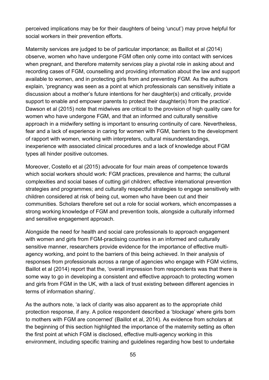perceived implications may be for their daughters of being 'uncut') may prove helpful for social workers in their prevention efforts.

Maternity services are judged to be of particular importance; as Baillot et al (2014) observe, women who have undergone FGM often only come into contact with services when pregnant, and therefore maternity services play a pivotal role in asking about and recording cases of FGM, counselling and providing information about the law and support available to women, and in protecting girls from and preventing FGM. As the authors explain, 'pregnancy was seen as a point at which professionals can sensitively initiate a discussion about a mother's future intentions for her daughter(s) and critically, provide support to enable and empower parents to protect their daughter(s) from the practice'. Dawson et al (2015) note that midwives are critical to the provision of high quality care for women who have undergone FGM, and that an informed and culturally sensitive approach in a midwifery setting is important to ensuring continuity of care. Nevertheless, fear and a lack of experience in caring for women with FGM, barriers to the development of rapport with women, working with interpreters, cultural misunderstandings, inexperience with associated clinical procedures and a lack of knowledge about FGM types all hinder positive outcomes.

Moreover, Costello et al (2015) advocate for four main areas of competence towards which social workers should work: FGM practices, prevalence and harms; the cultural complexities and social bases of cutting girl children; effective international prevention strategies and programmes; and culturally respectful strategies to engage sensitively with children considered at risk of being cut, women who have been cut and their communities. Scholars therefore set out a role for social workers, which encompasses a strong working knowledge of FGM and prevention tools, alongside a culturally informed and sensitive engagement approach.

Alongside the need for health and social care professionals to approach engagement with women and girls from FGM-practising countries in an informed and culturally sensitive manner, researchers provide evidence for the importance of effective multiagency working, and point to the barriers of this being achieved. In their analysis of responses from professionals across a range of agencies who engage with FGM victims, Baillot et al (2014) report that the, 'overall impression from respondents was that there is some way to go in developing a consistent and effective approach to protecting women and girls from FGM in the UK, with a lack of trust existing between different agencies in terms of information sharing'.

As the authors note, 'a lack of clarity was also apparent as to the appropriate child protection response, if any. A police respondent described a 'blockage' where girls born to mothers with FGM are concerned' (Baillot et al, 2014). As evidence from scholars at the beginning of this section highlighted the importance of the maternity setting as often the first point at which FGM is disclosed, effective multi-agency working in this environment, including specific training and guidelines regarding how best to undertake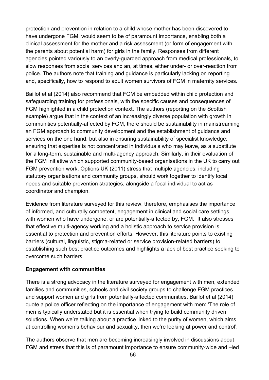protection and prevention in relation to a child whose mother has been discovered to have undergone FGM, would seem to be of paramount importance, enabling both a clinical assessment for the mother and a risk assessment (or form of engagement with the parents about potential harm) for girls in the family. Responses from different agencies pointed variously to an overly-guarded approach from medical professionals, to slow responses from social services and an, at times, either under- or over-reaction from police. The authors note that training and guidance is particularly lacking on reporting and, specifically, how to respond to adult women survivors of FGM in maternity services.

Baillot et al (2014) also recommend that FGM be embedded within child protection and safeguarding training for professionals, with the specific causes and consequences of FGM highlighted in a child protection context. The authors (reporting on the Scottish example) argue that in the context of an increasingly diverse population with growth in communities potentially-affected by FGM, there should be sustainability in mainstreaming an FGM approach to community development and the establishment of guidance and services on the one hand, but also in ensuring sustainability of specialist knowledge; ensuring that expertise is not concentrated in individuals who may leave, as a substitute for a long-term, sustainable and multi-agency approach. Similarly, in their evaluation of the FGM Initiative which supported community-based organisations in the UK to carry out FGM prevention work, Options UK (2011) stress that multiple agencies, including statutory organisations and community groups, should work together to identify local needs and suitable prevention strategies, alongside a focal individual to act as coordinator and champion.

Evidence from literature surveyed for this review, therefore, emphasises the importance of informed, and culturally competent, engagement in clinical and social care settings with women who have undergone, or are potentially-affected by, FGM. It also stresses that effective multi-agency working and a holistic approach to service provision is essential to protection and prevention efforts. However, this literature points to existing barriers (cultural, linguistic, stigma-related or service provision-related barriers) to establishing such best practice outcomes and highlights a lack of best practice seeking to overcome such barriers.

#### **Engagement with communities**

There is a strong advocacy in the literature surveyed for engagement with men, extended families and communities, schools and civil society groups to challenge FGM practices and support women and girls from potentially-affected communities. Baillot et al (2014) quote a police officer reflecting on the importance of engagement with men: 'The role of men is typically understated but it is essential when trying to build community driven solutions. When we're talking about a practice linked to the purity of women, which aims at controlling women's behaviour and sexuality, then we're looking at power and control'.

The authors observe that men are becoming increasingly involved in discussions about FGM and stress that this is of paramount importance to ensure community-wide and –led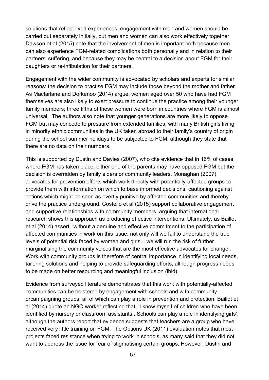solutions that reflect lived experiences; engagement with men and women should be carried out separately initially, but men and women can also work effectively together. Dawson et al (2015) note that the involvement of men is important both because men can also experience FGM-related complications both personally and in relation to their partners' suffering, and because they may be central to a decision about FGM for their daughters or re-infibulation for their partners.

Engagement with the wider community is advocated by scholars and experts for similar reasons: the decision to practise FGM may include those beyond the mother and father. As Macfarlane and Dorkenoo (2014) argue, women aged over 50 who have had FGM themselves are also likely to exert pressure to continue the practice among their younger family members; three fifths of these women were born in countries where FGM is almost universal. The authors also note that younger generations are more likely to oppose FGM but may concede to pressure from extended families, with many British girls living in minority ethnic communities in the UK taken abroad to their family's country of origin during the school summer holidays to be subjected to FGM, although they state that there are no data on their numbers.

This is supported by Dustin and Davies (2007), who cite evidence that in 16% of cases where FGM has taken place, either one of the parents may have opposed FGM but the decision is overridden by family elders or community leaders. Monaghan (2007) advocates for prevention efforts which work directly with potentially-affected groups to provide them with information on which to base informed decisions; cautioning against actions which might be seen as overtly punitive by affected communities and thereby drive the practice underground. Costello et al (2015) support collaborative engagement and supportive relationships with community members, arguing that international research shows this approach as producing effective interventions. Ultimately, as Baillot et al (2014) assert, 'without a genuine and effective commitment to the participation of affected communities in work on this issue, not only will we fail to understand the true levels of potential risk faced by women and girls... we will run the risk of further marginalising the community voices that are the most effective advocates for change'. Work with community groups is therefore of central importance in identifying local needs, tailoring solutions and helping to provide safeguarding efforts, although progress needs to be made on better resourcing and meaningful inclusion (ibid).

Evidence from surveyed literature demonstrates that this work with potentially-affected communities can be bolstered by engagement with schools and with community orcampaigning groups, all of which can play a role in prevention and protection. Baillot et al (2014) quote an NGO worker reflecting that, 'I know myself of children who have been identified by nursery or classroom assistants...Schools can play a role in identifying girls', although the authors report that evidence suggests that teachers are a group who have received very little training on FGM. The Options UK (2011) evaluation notes that most projects faced resistance when trying to work in schools, as many said that they did not want to address the issue for fear of stigmatising certain groups. However, Dustin and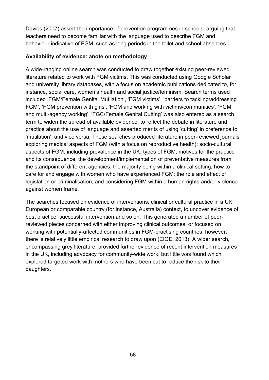Davies (2007) assert the importance of prevention programmes in schools, arguing that teachers need to become familiar with the language used to describe FGM and behaviour indicative of FGM, such as long periods in the toilet and school absences.

#### **Availability of evidence: anote on methodology**

A wide-ranging online search was conducted to draw together existing peer-reviewed literature related to work with FGM victims. This was conducted using Google Scholar and university library databases, with a focus on academic publications dedicated to, for instance, social care, women's health and social justice/feminism. Search terms used included 'FGM/Female Genital Mutilation', 'FGM victims', 'barriers to tackling/addressing FGM', 'FGM prevention with girls', 'FGM and working with victims/communities', 'FGM and multi-agency working'. 'FGC/Female Genital Cutting' was also entered as a search term to widen the spread of available evidence, to reflect the debate in literature and practice about the use of language and asserted merits of using 'cutting' in preference to 'mutilation', and vice versa. These searches produced literature in peer-reviewed journals exploring medical aspects of FGM (with a focus on reproductive health); socio-cultural aspects of FGM, including prevalence in the UK, types of FGM, motives for the practice and its consequence; the development/implementation of preventative measures from the standpoint of different agencies, the majority being within a clinical setting; how to care for and engage with women who have experienced FGM; the role and effect of legislation or criminalisation; and considering FGM within a human rights and/or violence against women frame.

The searches focused on evidence of interventions, clinical or cultural practice in a UK, European or comparable country (for instance, Australia) context, to uncover evidence of best practice, successful intervention and so on. This generated a number of peerreviewed pieces concerned with either improving clinical outcomes, or focused on working with potentially-affected communities in FGM-practising countries; however, there is relatively little empirical research to draw upon (EIGE, 2013). A wider search, encompassing grey literature, provided further evidence of recent intervention measures in the UK, including advocacy for community-wide work, but little was found which explored targeted work with mothers who have been cut to reduce the risk to their daughters.